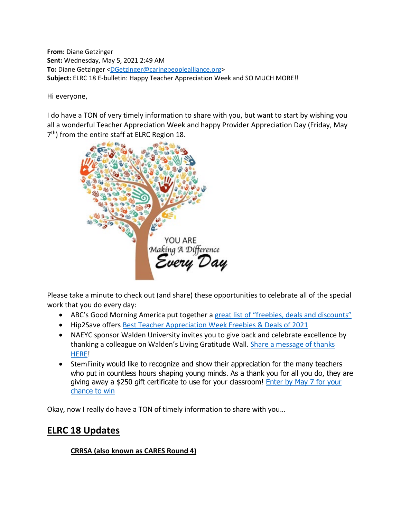**From:** Diane Getzinger **Sent:** Wednesday, May 5, 2021 2:49 AM **To:** Diane Getzinger [<DGetzinger@caringpeoplealliance.org>](mailto:DGetzinger@caringpeoplealliance.org) **Subject:** ELRC 18 E-bulletin: Happy Teacher Appreciation Week and SO MUCH MORE!!

Hi everyone,

I do have a TON of very timely information to share with you, but want to start by wishing you all a wonderful Teacher Appreciation Week and happy Provider Appreciation Day (Friday, May 7<sup>th</sup>) from the entire staff at ELRC Region 18.



Please take a minute to check out (and share) these opportunities to celebrate all of the special work that you do every day:

- ABC's Good Morning America put together a [great list of "freebies, deals and discounts"](https://www.goodmorningamerica.com/living/story/teacher-appreciation-week-2021-freebies-deals-discounts-77467164)
- Hip2Save offers [Best Teacher Appreciation Week Freebies & Deals of 2021](https://hip2save.com/tips/teacher-appreciation-week-freebies-deals/)
- NAEYC sponsor Walden University invites you to give back and celebrate excellence by thanking a colleague on Walden's Living Gratitude Wall. Share a message of thanks [HERE!](https://m.shortstack.page/qTFkhX)
- StemFinity would like to recognize and show their appreciation for the many teachers who put in countless hours shaping young minds. As a thank you for all you do, they are giving away a \$250 gift certificate to use for your classroom! Enter by May 7 for your [chance to win](https://docs.google.com/forms/d/e/1FAIpQLSfsRyNx45A3mNitk0NMa-kp0FgDR89m6bACasltmV0tFXg2Ng/viewform)

Okay, now I really do have a TON of timely information to share with you…

# **ELRC 18 Updates**

### **CRRSA (also known as CARES Round 4)**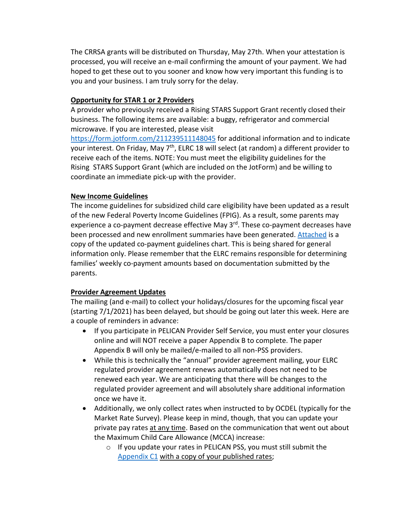The CRRSA grants will be distributed on Thursday, May 27th. When your attestation is processed, you will receive an e-mail confirming the amount of your payment. We had hoped to get these out to you sooner and know how very important this funding is to you and your business. I am truly sorry for the delay.

#### **Opportunity for STAR 1 or 2 Providers**

A provider who previously received a Rising STARS Support Grant recently closed their business. The following items are available: a buggy, refrigerator and commercial microwave. If you are interested, please visit

<https://form.jotform.com/211239511148045> for additional information and to indicate your interest. On Friday, May 7<sup>th</sup>, ELRC 18 will select (at random) a different provider to receive each of the items. NOTE: You must meet the eligibility guidelines for the Rising STARS Support Grant (which are included on the JotForm) and be willing to coordinate an immediate pick-up with the provider.

#### **New Income Guidelines**

The income guidelines for subsidized child care eligibility have been updated as a result of the new Federal Poverty Income Guidelines (FPIG). As a result, some parents may experience a co-payment decrease effective May 3<sup>rd</sup>. These co-payment decreases have been processed and new enrollment summaries have been generated. [Attached](https://www.dropbox.com/s/yd2pkgxubaohb29/2021%20Co-payment%20Chart.pdf?dl=0) is a copy of the updated co-payment guidelines chart. This is being shared for general information only. Please remember that the ELRC remains responsible for determining families' weekly co-payment amounts based on documentation submitted by the parents.

#### **Provider Agreement Updates**

The mailing (and e-mail) to collect your holidays/closures for the upcoming fiscal year (starting 7/1/2021) has been delayed, but should be going out later this week. Here are a couple of reminders in advance:

- If you participate in PELICAN Provider Self Service, you must enter your closures online and will NOT receive a paper Appendix B to complete. The paper Appendix B will only be mailed/e-mailed to all non-PSS providers.
- While this is technically the "annual" provider agreement mailing, your ELRC regulated provider agreement renews automatically does not need to be renewed each year. We are anticipating that there will be changes to the regulated provider agreement and will absolutely share additional information once we have it.
- Additionally, we only collect rates when instructed to by OCDEL (typically for the Market Rate Survey). Please keep in mind, though, that you can update your private pay rates at any time. Based on the communication that went out about the Maximum Child Care Allowance (MCCA) increase:
	- o If you update your rates in PELICAN PSS, you must still submit the [Appendix C1](https://www.dropbox.com/s/jtazgg7vqmh75mo/Regulated%20-%20Appendix%20C1%20-%20FY2020-2021.pdf?dl=0) with a copy of your published rates;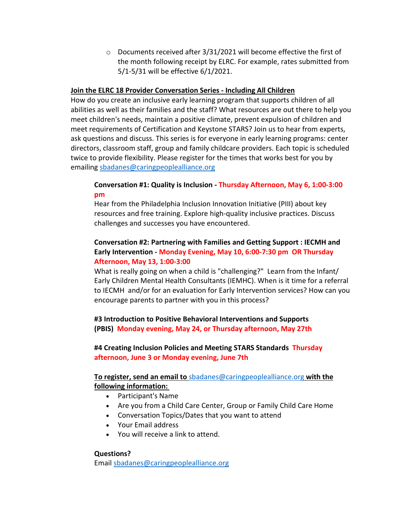$\circ$  Documents received after 3/31/2021 will become effective the first of the month following receipt by ELRC. For example, rates submitted from 5/1-5/31 will be effective 6/1/2021.

#### **Join the ELRC 18 Provider Conversation Series - Including All Children**

How do you create an inclusive early learning program that supports children of all abilities as well as their families and the staff? What resources are out there to help you meet children's needs, maintain a positive climate, prevent expulsion of children and meet requirements of Certification and Keystone STARS? Join us to hear from experts, ask questions and discuss. This series is for everyone in early learning programs: center directors, classroom staff, group and family childcare providers. Each topic is scheduled twice to provide flexibility. Please register for the times that works best for you by emailing [sbadanes@caringpeoplealliance.org](mailto:sbadanes@caringpeoplealliance.org)

#### **Conversation #1: Quality is Inclusion - Thursday Afternoon, May 6, 1:00-3:00 pm**

Hear from the Philadelphia Inclusion Innovation Initiative (PIII) about key resources and free training. Explore high-quality inclusive practices. Discuss challenges and successes you have encountered.

#### **Conversation #2: Partnering with Families and Getting Support : IECMH and Early Intervention - Monday Evening, May 10, 6:00-7:30 pm OR Thursday Afternoon, May 13, 1:00-3:00**

What is really going on when a child is "challenging?" Learn from the Infant/ Early Children Mental Health Consultants (IEMHC). When is it time for a referral to IECMH and/or for an evaluation for Early Intervention services? How can you encourage parents to partner with you in this process?

### **#3 Introduction to Positive Behavioral Interventions and Supports (PBIS) Monday evening, May 24, or Thursday afternoon, May 27th**

#### **#4 Creating Inclusion Policies and Meeting STARS Standards Thursday afternoon, June 3 or Monday evening, June 7th**

#### **To register, send an email to** [sbadanes@caringpeoplealliance.org](mailto:sbadanes@caringpeoplealliance.org) **with the following information:**

- Participant's Name
- Are you from a Child Care Center, Group or Family Child Care Home
- Conversation Topics/Dates that you want to attend
- Your Email address
- You will receive a link to attend.

#### **Questions?**

Email [sbadanes@caringpeoplealliance.org](mailto:sbadanes@caringpeoplealliance.org)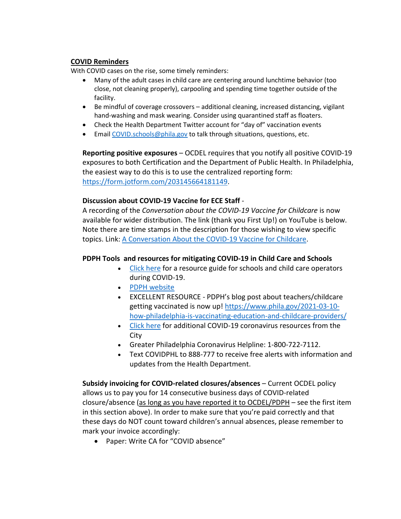#### **COVID Reminders**

With COVID cases on the rise, some timely reminders:

- Many of the adult cases in child care are centering around lunchtime behavior (too close, not cleaning properly), carpooling and spending time together outside of the facility.
- Be mindful of coverage crossovers additional cleaning, increased distancing, vigilant hand-washing and mask wearing. Consider using quarantined staff as floaters.
- Check the Health Department Twitter account for "day of" vaccination events
- Email [COVID.schools@phila.gov](mailto:COVID.schools@phila.gov) to talk through situations, questions, etc.

**Reporting positive exposures** – OCDEL requires that you notify all positive COVID-19 exposures to both Certification and the Department of Public Health. In Philadelphia, the easiest way to do this is to use the centralized reporting form: [https://form.jotform.com/203145664181149.](https://form.jotform.com/203145664181149)

#### **Discussion about COVID-19 Vaccine for ECE Staff** -

A recording of the *Conversation about the COVID-19 Vaccine for Childcare* is now available for wider distribution. The link (thank you First Up!) on YouTube is below. Note there are time stamps in the description for those wishing to view specific topics. Link: [A Conversation About the COVID-19 Vaccine for Childcare.](https://www.youtube.com/watch?v=l9-M2Fj3shE)

#### **PDPH Tools and resources for mitigating COVID-19 in Child Care and Schools**

- [Click here](https://www.phila.gov/documents/resources-for-child-care-and-summer-camp-operators-during-covid-19/) for a resource guide for schools and child care operators during COVID-19.
- [PDPH website](https://www.phila.gov/programs/coronavirus-disease-2019-covid-19/)
- EXCELLENT RESOURCE PDPH's blog post about teachers/childcare getting vaccinated is now up! [https://www.phila.gov/2021-03-10](https://www.phila.gov/2021-03-10-how-philadelphia-is-vaccinating-education-and-childcare-providers/) [how-philadelphia-is-vaccinating-education-and-childcare-providers/](https://www.phila.gov/2021-03-10-how-philadelphia-is-vaccinating-education-and-childcare-providers/)
- [Click here](https://www.phila.gov/programs/coronavirus-disease-2019-covid-19/guidance/guidance-documents/#/) for additional COVID-19 coronavirus resources from the City
- Greater Philadelphia Coronavirus Helpline: 1-800-722-7112.
- Text COVIDPHL to 888-777 to receive free alerts with information and updates from the Health Department.

**Subsidy invoicing for COVID-related closures/absences** – Current OCDEL policy allows us to pay you for 14 consecutive business days of COVID-related closure/absence (as long as you have reported it to OCDEL/PDPH – see the first item in this section above). In order to make sure that you're paid correctly and that these days do NOT count toward children's annual absences, please remember to mark your invoice accordingly:

• Paper: Write CA for "COVID absence"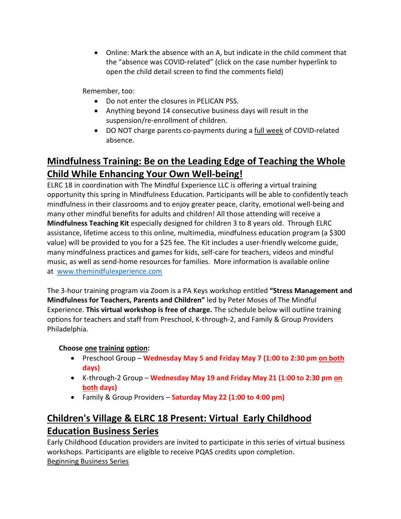• Online: Mark the absence with an A, but indicate in the child comment that the "absence was COVID-related" (click on the case number hyperlink to open the child detail screen to find the comments field)

Remember, too:

- Do not enter the closures in PELICAN PSS.
- Anything beyond 14 consecutive business days will result in the suspension/re-enrollment of children.
- DO NOT charge parents co-payments during a full week of COVID-related absence.

# **Mindfulness Training: Be on the Leading Edge of Teaching the Whole Child While Enhancing Your Own Well-being!**

ELRC 18 in coordination with The Mindful Experience LLC is offering a virtual training opportunity this spring in Mindfulness Education. Participants will be able to confidently teach mindfulness in their classrooms and to enjoy greater peace, clarity, emotional well-being and many other mindful benefits for adults and children! All those attending will receive a **Mindfulness Teaching Kit** especially designed for children 3 to 8 years old. Through ELRC assistance, lifetime access to this online, multimedia, mindfulness education program (a \$300 value) will be provided to you for a \$25 fee. The Kit includes a user-friendly welcome guide, many mindfulness practices and games for kids, self-care for teachers, videos and mindful music, as well as send-home resources for families. More information is available online at [www.themindfulexperience.com](http://www.themindfulexperience.com/)

The 3-hour training program via Zoom is a PA Keys workshop entitled **"Stress Management and Mindfulness for Teachers, Parents and Children"** led by Peter Moses of The Mindful Experience. **This virtual workshop is free of charge.** The schedule below will outline training options for teachers and staff from Preschool, K-through-2, and Family & Group Providers Philadelphia.

### **Choose one training option:**

- Preschool Group **Wednesday May 5 and Friday May 7 (1:00 to 2:30 pm on both days)**
- K-through-2 Group **Wednesday May 19 and Friday May 21 (1:00 to 2:30 pm on both days)**
- Family & Group Providers **Saturday May 22 (1:00 to 4:00 pm)**

# **Children's Village & ELRC 18 Present: Virtual Early Childhood Education Business Series**

Early Childhood Education providers are invited to participate in this series of virtual business workshops. Participants are eligible to receive PQAS credits upon completion. Beginning Business Series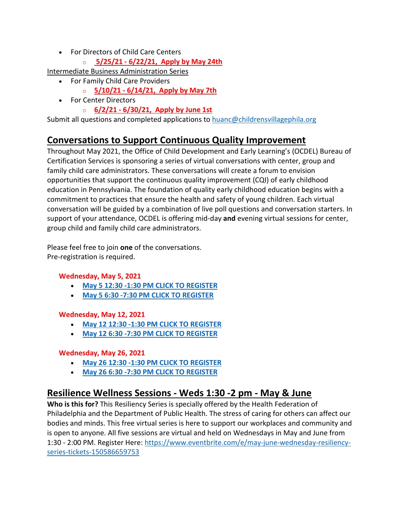- For Directors of Child Care Centers
	- o **5/25/21 - 6/22/21, [Apply by May](https://mcusercontent.com/e33067afbd3d90634f2953f28/files/82491ccc-64e0-4f61-ade8-ac2983f1450c/May_June_2021_ELRC_ECE_Beginner_Business_Admin_Center_Director_Series_Flyer_App_002_.pdf) 24th**

Intermediate Business Administration Series

- For Family Child Care Providers
	- o **5/10/21 - 6/14/21, [Apply by May 7th](https://mcusercontent.com/e33067afbd3d90634f2953f28/files/1212505a-77da-4dc0-82e2-01bb519c0e0c/Intermediate_BAS_Family_CC_3_Flyer_App_May_June2021.01.pdf)**
- For Center Directors
	- o **6/2/21 - 6/30/21, [Apply by June 1st](https://mcusercontent.com/e33067afbd3d90634f2953f28/files/ef6c48e3-79dc-433e-8fae-a2e023dfb4a5/Intermediate_BAS_2_Flyer_App_June2021.pdf)**

Submit all questions and completed applications to [huanc@childrensvillagephila.org](mailto:huanc@childrensvillagephila.org)

# **Conversations to Support Continuous Quality Improvement**

Throughout May 2021, the Office of Child Development and Early Learning's (OCDEL) Bureau of Certification Services is sponsoring a series of virtual conversations with center, group and family child care administrators. These conversations will create a forum to envision opportunities that support the continuous quality improvement (CQI) of early childhood education in Pennsylvania. The foundation of quality early childhood education begins with a commitment to practices that ensure the health and safety of young children. Each virtual conversation will be guided by a combination of live poll questions and conversation starters. In support of your attendance, OCDEL is offering mid-day **and** evening virtual sessions for center, group child and family child care administrators.

Please feel free to join **one** of the conversations. Pre-registration is required.

### **Wednesday, May 5, 2021**

- **[May 5 12:30 -1:30 PM CLICK TO REGISTER](https://berksiu.zoom.us/meeting/register/tJIscOqtpj0uHNeafeL_s-Y6zHTbGQH__a4x)**
- **[May 5 6:30 -7:30 PM CLICK TO REGISTER](https://berksiu.zoom.us/meeting/register/tJ0rf-GorDMpHNJXU_TJVX-wLCmGw4Dxfl2J)**

### **Wednesday, May 12, 2021**

- **[May 12 12:30 -1:30 PM CLICK TO REGISTER](https://berksiu.zoom.us/meeting/register/tJYvcOqvqjIvHt1SgF2B5rpawH6OyoDWlhco)**
- **[May 12 6:30 -7:30 PM CLICK TO REGISTER](https://berksiu.zoom.us/meeting/register/tJArdeGppjgjHNNLLdBJTWOdXI9GBJIdrINg)**

### **Wednesday, May 26, 2021**

- **[May 26 12:30 -1:30 PM CLICK TO REGISTER](https://berksiu.zoom.us/meeting/register/tJctcO-sqDMqHN1dN0ZntjbxJSr2mIIXQWgb)**
- **[May 26 6:30 -7:30 PM CLICK TO REGISTER](https://berksiu.zoom.us/meeting/register/tJAkceigqT0uE905wKknQkf1RCLvPR0K3TQB)**

### **Resilience Wellness Sessions - Weds 1:30 -2 pm - May & June**

**Who is this for?** This Resiliency Series is specially offered by the Health Federation of Philadelphia and the Department of Public Health. The stress of caring for others can affect our bodies and minds. This free virtual series is here to support our workplaces and community and is open to anyone. All five sessions are virtual and held on Wednesdays in May and June from 1:30 - 2:00 PM. Register Here: [https://www.eventbrite.com/e/may-june-wednesday-resiliency](https://www.eventbrite.com/e/may-june-wednesday-resiliency-series-tickets-150586659753)[series-tickets-150586659753](https://www.eventbrite.com/e/may-june-wednesday-resiliency-series-tickets-150586659753)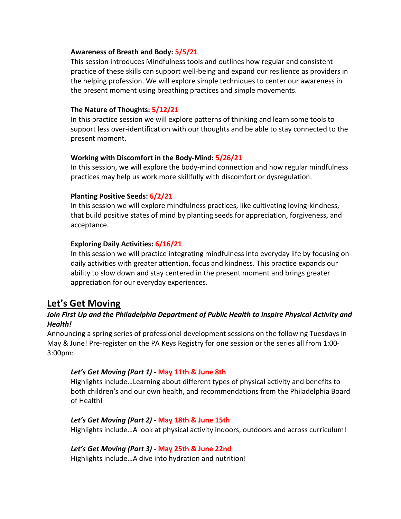#### **Awareness of Breath and Body: 5/5/21**

This session introduces Mindfulness tools and outlines how regular and consistent practice of these skills can support well-being and expand our resilience as providers in the helping profession. We will explore simple techniques to center our awareness in the present moment using breathing practices and simple movements.

#### **The Nature of Thoughts: 5/12/21**

In this practice session we will explore patterns of thinking and learn some tools to support less over-identification with our thoughts and be able to stay connected to the present moment.

#### **Working with Discomfort in the Body-Mind: 5/26/21**

In this session, we will explore the body-mind connection and how regular mindfulness practices may help us work more skillfully with discomfort or dysregulation.

#### **Planting Positive Seeds: 6/2/21**

In this session we will explore mindfulness practices, like cultivating loving-kindness, that build positive states of mind by planting seeds for appreciation, forgiveness, and acceptance.

#### **Exploring Daily Activities: 6/16/21**

In this session we will practice integrating mindfulness into everyday life by focusing on daily activities with greater attention, focus and kindness. This practice expands our ability to slow down and stay centered in the present moment and brings greater appreciation for our everyday experiences.

### **Let's Get Moving**

### Join First Up and the Philadelphia Department of Public Health to Inspire Physical Activity and *Health!*

Announcing a spring series of professional development sessions on the following Tuesdays in May & June! Pre-register on the PA Keys Registry for one session or the series all from 1:00- 3:00pm:

#### *Let's Get Moving (Part 1)* **- May 11th & June 8th**

Highlights include…Learning about different types of physical activity and benefits to both children's and our own health, and recommendations from the Philadelphia Board of Health!

#### *Let's Get Moving (Part 2)* **- May 18th & June 15th**

Highlights include…A look at physical activity indoors, outdoors and across curriculum!

#### *Let's Get Moving (Part 3)* **- May 25th & June 22nd**

Highlights include…A dive into hydration and nutrition!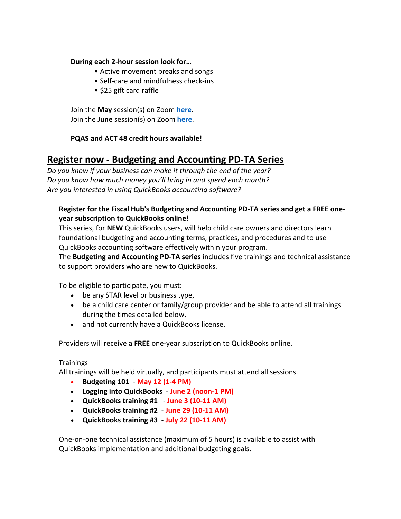#### **During each 2-hour session look for…**

- Active movement breaks and songs
- Self-care and mindfulness check-ins
- \$25 gift card raffle

Join the **May** session(s) on Zoom **[here](https://zoom.us/meeting/register/tJ0sdeqqqTMvH9GwofcSxYAdF24cJGKtGppm?_x_zm_rtaid=N27aTecWSsqlR0RIRQtPBg.1618869820714.c06f242624d2e5fb6a95a599ba28934e&_x_zm_rhtaid=85)**. Join the **June** session(s) on Zoom **[here](https://zoom.us/meeting/register/tJItdO2vqzgpGt1SoCWTiq6TaytAJZBbXmMp?_x_zm_rtaid=N27aTecWSsqlR0RIRQtPBg.1618869820714.c06f242624d2e5fb6a95a599ba28934e&_x_zm_rhtaid=85)**.

### **PQAS and ACT 48 credit hours available!**

### **Register now - Budgeting and Accounting PD-TA Series**

*Do you know if your business can make it through the end of the year? Do you know how much money you'll bring in and spend each month? Are you interested in using QuickBooks accounting software?*

### **Register for the Fiscal Hub's Budgeting and Accounting PD-TA series and get a FREE oneyear subscription to QuickBooks online!**

This series, for **NEW** QuickBooks users, will help child care owners and directors learn foundational budgeting and accounting terms, practices, and procedures and to use QuickBooks accounting software effectively within your program.

The **Budgeting and Accounting PD-TA series** includes five trainings and technical assistance to support providers who are new to QuickBooks.

To be eligible to participate, you must:

- be any STAR level or business type,
- be a child care center or family/group provider and be able to attend all trainings during the times detailed below,
- and not currently have a QuickBooks license.

Providers will receive a **FREE** one-year subscription to QuickBooks online.

#### Trainings

All trainings will be held virtually, and participants must attend all sessions.

- **Budgeting 101 May 12 (1-4 PM)**
- **Logging into QuickBooks June 2 (noon-1 PM)**
- **QuickBooks training #1 June 3 (10-11 AM)**
- **QuickBooks training #2 June 29 (10-11 AM)**
- **QuickBooks training #3 July 22 (10-11 AM)**

One-on-one technical assistance (maximum of 5 hours) is available to assist with QuickBooks implementation and additional budgeting goals.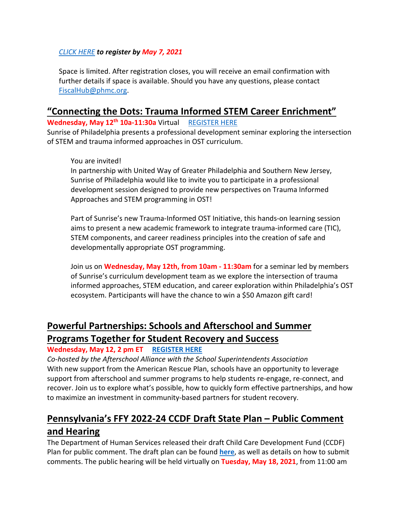### *[CLICK HERE](https://www.surveymonkey.com/r/BYBKKWX) to register by May 7, 2021*

Space is limited. After registration closes, you will receive an email confirmation with further details if space is available. Should you have any questions, please contact [FiscalHub@phmc.org.](mailto:FiscalHub@phmc.org)

### **"Connecting the Dots: Trauma Informed STEM Career Enrichment"**

**Wednesday, May 12th 10a-11:30a** Virtual [REGISTER HERE](https://docs.google.com/forms/d/e/1FAIpQLSfoMqpz9DlKpBep21eFqtzyNaCZbcXb_KPsqZ39VRIs4mRFFA/viewform)

Sunrise of Philadelphia presents a professional development seminar exploring the intersection of STEM and trauma informed approaches in OST curriculum.

### You are invited!

In partnership with United Way of Greater Philadelphia and Southern New Jersey, Sunrise of Philadelphia would like to invite you to participate in a professional development session designed to provide new perspectives on Trauma Informed Approaches and STEM programming in OST!

Part of Sunrise's new Trauma-Informed OST Initiative, this hands-on learning session aims to present a new academic framework to integrate trauma-informed care (TIC), STEM components, and career readiness principles into the creation of safe and developmentally appropriate OST programming.

Join us on **Wednesday, May 12th, from 10am - 11:30am** for a seminar led by members of Sunrise's curriculum development team as we explore the intersection of trauma informed approaches, STEM education, and career exploration within Philadelphia's OST ecosystem. Participants will have the chance to win a \$50 Amazon gift card!

# **Powerful Partnerships: Schools and Afterschool and Summer Programs Together for Student Recovery and Success**

### **Wednesday, May 12, 2 pm ET [REGISTER HERE](https://us02web.zoom.us/webinar/register/WN_SA4-dccDTImrgMQcrm6CTg?utm_source=sendinblue&utm_campaign=ARP_Webinar_Utilizing_National_Service_Members_to_Build_Capacity&utm_medium=email)**

*Co-hosted by the Afterschool Alliance with the School Superintendents Association* With new support from the American Rescue Plan, schools have an opportunity to leverage support from afterschool and summer programs to help students re-engage, re-connect, and recover. Join us to explore what's possible, how to quickly form effective partnerships, and how to maximize an investment in community-based partners for student recovery.

# **Pennsylvania's FFY 2022-24 CCDF Draft State Plan – Public Comment and Hearing**

The Department of Human Services released their draft Child Care Development Fund (CCDF) Plan for public comment. The draft plan can be found **[here](https://www.dhs.pa.gov/Services/Children/Pages/Child-Care-Early-Learning.aspx)**, as well as details on how to submit comments. The public hearing will be held virtually on **Tuesday, May 18, 2021**, from 11:00 am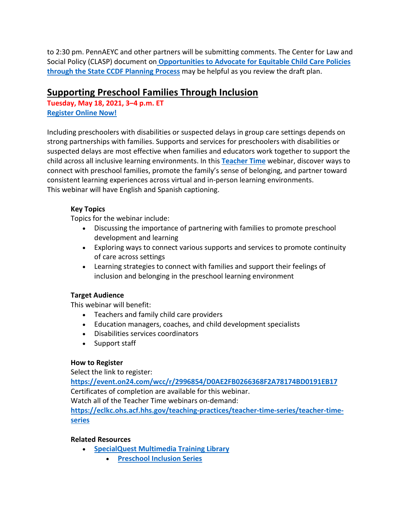to 2:30 pm. PennAEYC and other partners will be submitting comments. The Center for Law and Social Policy (CLASP) document on **[Opportunities to Advocate for Equitable Child Care Policies](https://www.clasp.org/sites/default/files/publications/2021/01/2021_State%20CCDF%20Planning%20Process%20brief.pdf)  [through the State CCDF](https://www.clasp.org/sites/default/files/publications/2021/01/2021_State%20CCDF%20Planning%20Process%20brief.pdf) Planning Process** may be helpful as you review the draft plan.

### **Supporting Preschool Families Through Inclusion**

**Tuesday, May 18, 2021, 3–4 p.m. ET [Register Online Now!](https://event.on24.com/eventRegistration/EventLobbyServlet?target=reg20.jsp&cid=db0342438afaf3b4eb7ba51e1eb3c6af&eventid=2996854&sessionid=1&key=D0AE2FB0266368F2A78174BD0191EB17®Tag=&V2=false&sourcepage=register)**

Including preschoolers with disabilities or suspected delays in group care settings depends on strong partnerships with families. Supports and services for preschoolers with disabilities or suspected delays are most effective when families and educators work together to support the child across all inclusive learning environments. In this **[Teacher Time](https://eclkc.ohs.acf.hhs.gov/teaching-practices/teacher-time-series/teacher-time-series?utm_medium=email&utm_campaign=Supporting%20Preschool%20Families%20Through%20Inclusion&utm_content=Supporting%20Preschool%20Families%20Through%20Inclusion+CID_db0342438afaf3b4eb7ba51e1eb3c6af&utm_source=CM%20Eblast&utm_term=Teacher%20Time&cid=db0342438afaf3b4eb7ba51e1eb3c6af)** webinar, discover ways to connect with preschool families, promote the family's sense of belonging, and partner toward consistent learning experiences across virtual and in-person learning environments. This webinar will have English and Spanish captioning.

### **Key Topics**

Topics for the webinar include:

- Discussing the importance of partnering with families to promote preschool development and learning
- Exploring ways to connect various supports and services to promote continuity of care across settings
- Learning strategies to connect with families and support their feelings of inclusion and belonging in the preschool learning environment

### **Target Audience**

This webinar will benefit:

- Teachers and family child care providers
- Education managers, coaches, and child development specialists
- Disabilities services coordinators
- Support staff

### **How to Register**

Select the link to register:

**[https://event.on24.com/wcc/r/2996854/D0AE2FB0266368F2A78174BD0191EB17](https://event.on24.com/eventRegistration/EventLobbyServlet?target=reg20.jsp&cid=db0342438afaf3b4eb7ba51e1eb3c6af&eventid=2996854&sessionid=1&key=D0AE2FB0266368F2A78174BD0191EB17®Tag=&V2=false&sourcepage=register)** Certificates of completion are available for this webinar.

Watch all of the Teacher Time webinars on-demand:

**[https://eclkc.ohs.acf.hhs.gov/teaching-practices/teacher-time-series/teacher-time](https://eclkc.ohs.acf.hhs.gov/teaching-practices/teacher-time-series/teacher-time-series?utm_medium=email&utm_campaign=Supporting%20Preschool%20Families%20Through%20Inclusion&utm_content=Supporting%20Preschool%20Families%20Through%20Inclusion+CID_db0342438afaf3b4eb7ba51e1eb3c6af&utm_source=CM%20Eblast&utm_term=httpseclkcohsacfhhsgovteaching-practicesteacher-time-seriesteacher-time-series&cid=db0342438afaf3b4eb7ba51e1eb3c6af)[series](https://eclkc.ohs.acf.hhs.gov/teaching-practices/teacher-time-series/teacher-time-series?utm_medium=email&utm_campaign=Supporting%20Preschool%20Families%20Through%20Inclusion&utm_content=Supporting%20Preschool%20Families%20Through%20Inclusion+CID_db0342438afaf3b4eb7ba51e1eb3c6af&utm_source=CM%20Eblast&utm_term=httpseclkcohsacfhhsgovteaching-practicesteacher-time-seriesteacher-time-series&cid=db0342438afaf3b4eb7ba51e1eb3c6af)**

### **Related Resources**

- **[SpecialQuest Multimedia Training Library](https://eclkc.ohs.acf.hhs.gov/children-disabilities/specialquest-multimedia-training-library/specialquest-multimedia-training-library?utm_medium=email&utm_campaign=Supporting%20Preschool%20Families%20Through%20Inclusion&utm_content=Supporting%20Preschool%20Families%20Through%20Inclusion+CID_db0342438afaf3b4eb7ba51e1eb3c6af&utm_source=CM%20Eblast&utm_term=SpecialQuest%20Multimedia%20Training%20Library&cid=db0342438afaf3b4eb7ba51e1eb3c6af)**
	- **[Preschool Inclusion Series](https://eclkc.ohs.acf.hhs.gov/children-disabilities/specialquest-multimedia-training-library/preschool-inclusion-series?utm_medium=email&utm_campaign=Supporting%20Preschool%20Families%20Through%20Inclusion&utm_content=Supporting%20Preschool%20Families%20Through%20Inclusion+CID_db0342438afaf3b4eb7ba51e1eb3c6af&utm_source=CM%20Eblast&utm_term=Preschool%20Inclusion%20Series&cid=db0342438afaf3b4eb7ba51e1eb3c6af)**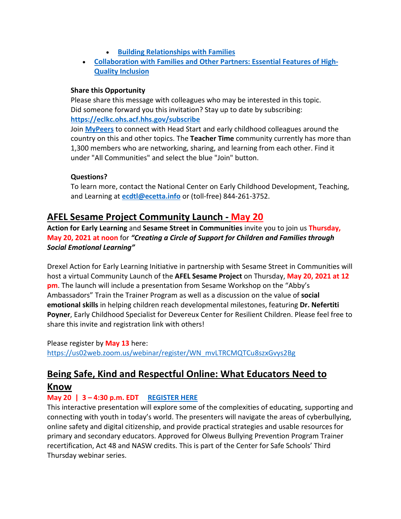- **[Building Relationships with Families](https://eclkc.ohs.acf.hhs.gov/children-disabilities/specialquest-multimedia-training-library/building-relationships-families?utm_medium=email&utm_campaign=Supporting%20Preschool%20Families%20Through%20Inclusion&utm_content=Supporting%20Preschool%20Families%20Through%20Inclusion+CID_db0342438afaf3b4eb7ba51e1eb3c6af&utm_source=CM%20Eblast&utm_term=Building%20Relationships%20with%20Families&cid=db0342438afaf3b4eb7ba51e1eb3c6af)**
- **[Collaboration with Families and Other Partners: Essential Features of High-](https://eclkc.ohs.acf.hhs.gov/video/collaboration-families-other-partners-essential-features-high-quality-inclusion?utm_medium=email&utm_campaign=Supporting%20Preschool%20Families%20Through%20Inclusion&utm_content=Supporting%20Preschool%20Families%20Through%20Inclusion+CID_db0342438afaf3b4eb7ba51e1eb3c6af&utm_source=CM%20Eblast&utm_term=Collaboration%20with%20Families%20and%20Other%20Partners%20Essential%20Features%20of%20High-Quality%20Inclusion&cid=db0342438afaf3b4eb7ba51e1eb3c6af)[Quality Inclusion](https://eclkc.ohs.acf.hhs.gov/video/collaboration-families-other-partners-essential-features-high-quality-inclusion?utm_medium=email&utm_campaign=Supporting%20Preschool%20Families%20Through%20Inclusion&utm_content=Supporting%20Preschool%20Families%20Through%20Inclusion+CID_db0342438afaf3b4eb7ba51e1eb3c6af&utm_source=CM%20Eblast&utm_term=Collaboration%20with%20Families%20and%20Other%20Partners%20Essential%20Features%20of%20High-Quality%20Inclusion&cid=db0342438afaf3b4eb7ba51e1eb3c6af)**

### **Share this Opportunity**

Please share this message with colleagues who may be interested in this topic. Did someone forward you this invitation? Stay up to date by subscribing: **[https://eclkc.ohs.acf.hhs.gov/subscribe](https://eclkc.ohs.acf.hhs.gov/subscribe?utm_medium=email&utm_campaign=Supporting%20Preschool%20Families%20Through%20Inclusion&utm_content=Supporting%20Preschool%20Families%20Through%20Inclusion+CID_db0342438afaf3b4eb7ba51e1eb3c6af&utm_source=CM%20Eblast&utm_term=httpseclkcohsacfhhsgovsubscribe&cid=db0342438afaf3b4eb7ba51e1eb3c6af)**

Join **[MyPeers](https://eclkc.ohs.acf.hhs.gov/about-us/article/mypeers-collaborative-platform-early-care-education-community?utm_medium=email&utm_campaign=Supporting%20Preschool%20Families%20Through%20Inclusion&utm_content=Supporting%20Preschool%20Families%20Through%20Inclusion+CID_db0342438afaf3b4eb7ba51e1eb3c6af&utm_source=CM%20Eblast&utm_term=MyPeers&cid=db0342438afaf3b4eb7ba51e1eb3c6af)** to connect with Head Start and early childhood colleagues around the country on this and other topics. The **Teacher Time** community currently has more than 1,300 members who are networking, sharing, and learning from each other. Find it under "All Communities" and select the blue "Join" button.

### **Questions?**

To learn more, contact the National Center on Early Childhood Development, Teaching, and Learning at **[ecdtl@ecetta.info](mailto:ecdtl@ecetta.info)** or (toll-free) 844-261-3752.

## **AFEL Sesame Project Community Launch - May 20**

**Action for Early Learning** and **Sesame Street in Communities** invite you to join us **Thursday, May 20, 2021 at noon** for *"Creating a Circle of Support for Children and Families through Social Emotional Learning"* 

Drexel Action for Early Learning Initiative in partnership with Sesame Street in Communities will host a virtual Community Launch of the **AFEL Sesame Project** on Thursday, **May 20, 2021 at 12 pm**. The launch will include a presentation from Sesame Workshop on the "Abby's Ambassadors" Train the Trainer Program as well as a discussion on the value of **social emotional skills** in helping children reach developmental milestones, featuring **Dr. Nefertiti Poyner**, Early Childhood Specialist for Devereux Center for Resilient Children. Please feel free to share this invite and registration link with others!

Please register by **May 13** here: [https://us02web.zoom.us/webinar/register/WN\\_mvLTRCMQTCu8szxGvys2Bg](https://us02web.zoom.us/webinar/register/WN_mvLTRCMQTCu8szxGvys2Bg)

# **Being Safe, Kind and Respectful Online: What Educators Need to**

### **Know**

### **May 20 | 3 – 4:30 p.m. EDT [REGISTER HERE](http://thirdthursday.safeschools.info/?utm_source=mc&utm_medium=email&utm_campaign=tt-may-art)**

This interactive presentation will explore some of the complexities of educating, supporting and connecting with youth in today's world. The presenters will navigate the areas of cyberbullying, online safety and digital citizenship, and provide practical strategies and usable resources for primary and secondary educators. Approved for Olweus Bullying Prevention Program Trainer recertification, Act 48 and NASW credits. This is part of the Center for Safe Schools' Third Thursday webinar series.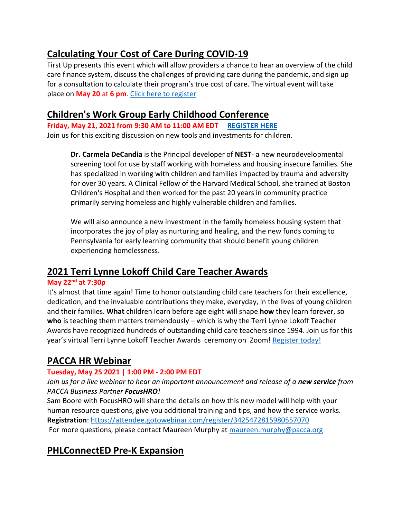# **Calculating Your Cost of Care During COVID-19**

First Up presents this event which will allow providers a chance to hear an overview of the child care finance system, discuss the challenges of providing care during the pandemic, and sign up for a consultation to calculate their program's true cost of care. The virtual event will take place on **May 20** at **6 pm**. [Click here to register](https://identity.newworldnow.com/account/login?returnUrl=%2Fconnect%2Fauthorize%2Fcallback%3Fclient_id%3DSW5zaWdodCBSZWdpc3RyeSBQQSBWNiAoUHJvZCk%253D%26redirect_uri%3Dhttps%253A%252F%252Fwww.papdregistry.org%252Fsignin-oidc%26response_mode%3Dform_post%26response_type%3Dcode%2520id_token%2520token%26scope%3Dopenid%2520role%2520email%2520profile%2520nwn.insight.elearning.webapi%2520nwn.insight.webapi%2520nwn.insight.identity.webapi%2520offline_access%26state%3DOpenIdConnect.AuthenticationProperties%253DljgrXVsYKRmDbEVaPCrDIHe-LQpzLSJT2I1ksJ2Z9qWIp5kvwQ3LsLiSYC6qqcBiaiH0jWFH6b4qw53ZKhfLVX1vXf4UIeCDQoAGfbQ2b0Tqc2VnzmLReL1pbAyXPym5qQpx8d4dtTeP3SnNHrIweOYQAMLCc--Ee9WpfWHq5gI29xPqZS8OSZGG3WP0qHDKq_h-EAMX-Xz5iHQGm7lI9BJv_uIVKI2UpkVXKRZIsY56YtkN5desjq-0NnfnqiVKrzy5jFjICc0uBUFogOAvwxD8w126skPOoXxXBuqKWSWSSV4CIYazcoKr3YCcRTUFUAKw-BP4EzJssQN32zUypo95sS8UFDe-I8H3ZM-xzqups4_jZvNf3GHsWLZgKCS95zEccgJx8qmEL40h7LuWLg%26nonce%3D637557888357687496.YTA4N2I5MTEtZjI4NS00YzdjLWEzMTItNGUzZDhlM2I2MDY4YjQ1ZDhiOWQtNmQ3Ny00NzU0LTliZjgtMmZhNjAyYmQzMjRm%26ui_locales%3Deng)

### **Children's Work Group Early Childhood Conference**

**Friday, May 21, 2021 from 9:30 AM to 11:00 AM EDT [REGISTER HERE](https://us02web.zoom.us/meeting/register/tZwocOuurDkiE9UYLA67BmFJullqlTPFna6K)** Join us for this exciting discussion on new tools and investments for children.

**Dr. Carmela DeCandia** is the Principal developer of **NEST**- a new neurodevelopmental screening tool for use by staff working with homeless and housing insecure families. She has specialized in working with children and families impacted by trauma and adversity for over 30 years. A Clinical Fellow of the Harvard Medical School, she trained at Boston Children's Hospital and then worked for the past 20 years in community practice primarily serving homeless and highly vulnerable children and families.

We will also announce a new investment in the family homeless housing system that incorporates the joy of play as nurturing and healing, and the new funds coming to Pennsylvania for early learning community that should benefit young children experiencing homelessness.

# **2021 Terri Lynne Lokoff Child Care Teacher Awards**

### **May 22nd at 7:30p**

It's almost that time again! Time to honor outstanding child care teachers for their excellence, dedication, and the invaluable contributions they make, everyday, in the lives of young children and their families. **What** children learn before age eight will shape **how** they learn forever, so **who** is teaching them matters tremendously – which is why the Terri Lynne Lokoff Teacher Awards have recognized hundreds of outstanding child care teachers since 1994. Join us for this year's virtual Terri Lynne Lokoff Teacher Awards ceremony on Zoom! [Register today!](https://zoom.us/webinar/register/WN_SyjHail9SkWLpulY7i85VA)

# **PACCA HR Webinar**

### **Tuesday, May 25 2021 | 1:00 PM - 2:00 PM EDT**

*Join us for a live webinar to hear an important announcement and release of a new service from PACCA Business Partner FocusHRO!*

Sam Boore with FocusHRO will share the details on how this new model will help with your human resource questions, give you additional training and tips, and how the service works. **Registration**: [https://attendee.gotowebinar.com/register/3425472815980557070](https://register.gotowebinar.com/register/3425472815980557070) For more questions, please contact Maureen Murphy at [maureen.murphy@pacca.org](mailto:maureen.murphy@pacca.org)

# **PHLConnectED Pre-K Expansion**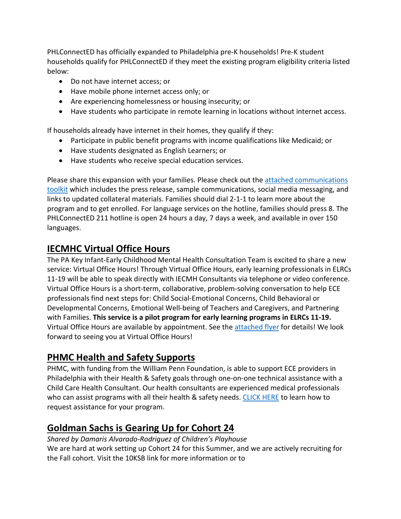PHLConnectED has officially expanded to Philadelphia pre-K households! Pre-K student households qualify for PHLConnectED if they meet the existing program eligibility criteria listed below:

- Do not have internet access; or
- Have mobile phone internet access only; or
- Are experiencing homelessness or housing insecurity; or
- Have students who participate in remote learning in locations without internet access.

If households already have internet in their homes, they qualify if they:

- Participate in public benefit programs with income qualifications like Medicaid; or
- Have students designated as English Learners; or
- Have students who receive special education services.

Please share this expansion with your families. Please check out the attached communications [toolkit](https://www.dropbox.com/s/fv93aciulfp1l49/PHLConnectED%20Comms.Toolkit_Partners_4.2021.docx.pdf?dl=0) which includes the press release, sample communications, social media messaging, and links to updated collateral materials. Families should dial 2-1-1 to learn more about the program and to get enrolled. For language services on the hotline, families should press 8. The PHLConnectED 211 hotline is open 24 hours a day, 7 days a week, and available in over 150 languages.

### **IECMHC Virtual Office Hours**

The PA Key Infant-Early Childhood Mental Health Consultation Team is excited to share a new service: Virtual Office Hours! Through Virtual Office Hours, early learning professionals in ELRCs 11-19 will be able to speak directly with IECMH Consultants via telephone or video conference. Virtual Office Hours is a short-term, collaborative, problem-solving conversation to help ECE professionals find next steps for: Child Social-Emotional Concerns, Child Behavioral or Developmental Concerns, Emotional Well-being of Teachers and Caregivers, and Partnering with Families. **This service is a pilot program for early learning programs in ELRCs 11-19.** Virtual Office Hours are available by appointment. See the [attached flyer](https://www.dropbox.com/s/n8mepj009coj73x/Pennsylvania%20Key%20IECMHC%20Virtual%20Office%20Hours%20Flyer.pdf?dl=0) for details! We look forward to seeing you at Virtual Office Hours!

### **PHMC Health and Safety Supports**

PHMC, with funding from the William Penn Foundation, is able to support ECE providers in Philadelphia with their Health & Safety goals through one-on-one technical assistance with a Child Care Health Consultant. Our health consultants are experienced medical professionals who can assist programs with all their health & safety needs[. CLICK HERE](https://mcusercontent.com/e33067afbd3d90634f2953f28/files/4f85953d-588f-4031-994b-1bea9a1ec65b/Health_Saftey_TA_Flyer.pdf) to learn how to request assistance for your program.

# **Goldman Sachs is Gearing Up for Cohort 24**

*Shared by Damaris Alvarado-Rodriguez of Children's Playhouse* We are hard at work setting up Cohort 24 for this Summer, and we are actively recruiting for the Fall cohort. Visit the 10KSB link for more information or to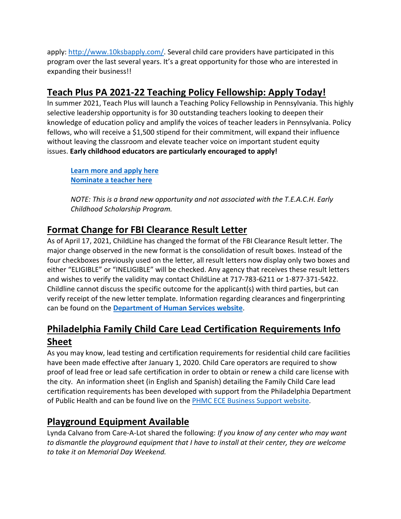apply: [http://www.10ksbapply.com/.](https://www.10ksbapply.com/) Several child care providers have participated in this program over the last several years. It's a great opportunity for those who are interested in expanding their business!!

# **Teach Plus PA 2021-22 Teaching Policy Fellowship: Apply Today!**

In summer 2021, Teach Plus will launch a Teaching Policy Fellowship in Pennsylvania. This highly selective leadership opportunity is for 30 outstanding teachers looking to deepen their knowledge of education policy and amplify the voices of teacher leaders in Pennsylvania. Policy fellows, who will receive a \$1,500 stipend for their commitment, will expand their influence without leaving the classroom and elevate teacher voice on important student equity issues. **Early childhood educators are particularly encouraged to apply!**

**[Learn more and apply here](https://teachplus.org/pennsylvania-policy-fellowship) [Nominate a teacher here](https://teachplus.tfaforms.net/327658)**

*NOTE: This is a brand new opportunity and not associated with the T.E.A.C.H. Early Childhood Scholarship Program.*

# **Format Change for FBI Clearance Result Letter**

As of April 17, 2021, ChildLine has changed the format of the FBI Clearance Result letter. The major change observed in the new format is the consolidation of result boxes. Instead of the four checkboxes previously used on the letter, all result letters now display only two boxes and either "ELIGIBLE" or "INELIGIBLE" will be checked. Any agency that receives these result letters and wishes to verify the validity may contact ChildLine at 717-783-6211 or 1-877-371-5422. Childline cannot discuss the specific outcome for the applicant(s) with third parties, but can verify receipt of the new letter template. Information regarding clearances and fingerprinting can be found on the **[Department of Human Services website](https://www.dhs.pa.gov/KeepKidsSafe/Clearances/Pages/FBI-Fingerprinting.aspx)**.

# **Philadelphia Family Child Care Lead Certification Requirements Info Sheet**

As you may know, lead testing and certification requirements for residential child care facilities have been made effective after January 1, 2020. Child Care operators are required to show proof of lead free or lead safe certification in order to obtain or renew a child care license with the city. An information sheet (in English and Spanish) detailing the Family Child Care lead certification requirements has been developed with support from the Philadelphia Department of Public Health and can be found live on the [PHMC ECE Business Support website.](https://ecebizopssupports.phmc.org/resources)

# **Playground Equipment Available**

Lynda Calvano from Care-A-Lot shared the following: *If you know of any center who may want to dismantle the playground equipment that I have to install at their center, they are welcome to take it on Memorial Day Weekend.*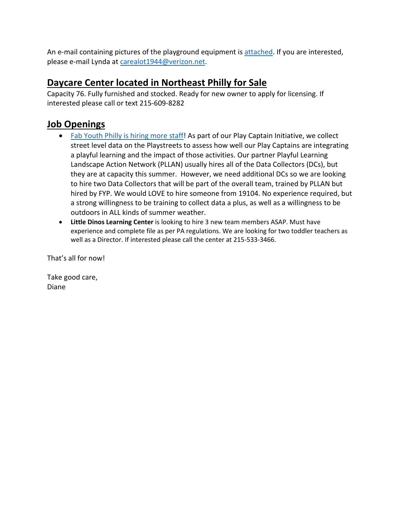An e-mail containing pictures of the playground equipment is [attached.](https://www.dropbox.com/s/w4rc46c9ab9p86x/Care%20A%20Lot%20Playground%20Equipment%20pics.pdf?dl=0) If you are interested, please e-mail Lynda at [carealot1944@verizon.net.](mailto:carealot1944@verizon.net)

# **Daycare Center located in Northeast Philly for Sale**

Capacity 76. Fully furnished and stocked. Ready for new owner to apply for licensing. If interested please call or text 215-609-8282

# **Job Openings**

- [Fab Youth Philly is hiring more staff!](https://basecamp.com/2114843/projects/3550989/messages/96145883?enlarge=431925496#attachments_for_message_96145883) As part of our Play Captain Initiative, we collect street level data on the Playstreets to assess how well our Play Captains are integrating a playful learning and the impact of those activities. Our partner Playful Learning Landscape Action Network (PLLAN) usually hires all of the Data Collectors (DCs), but they are at capacity this summer. However, we need additional DCs so we are looking to hire two Data Collectors that will be part of the overall team, trained by PLLAN but hired by FYP. We would LOVE to hire someone from 19104. No experience required, but a strong willingness to be training to collect data a plus, as well as a willingness to be outdoors in ALL kinds of summer weather.
- **Little Dinos Learning Center** is looking to hire 3 new team members ASAP. Must have experience and complete file as per PA regulations. We are looking for two toddler teachers as well as a Director. If interested please call the center at 215-533-3466.

That's all for now!

Take good care, Diane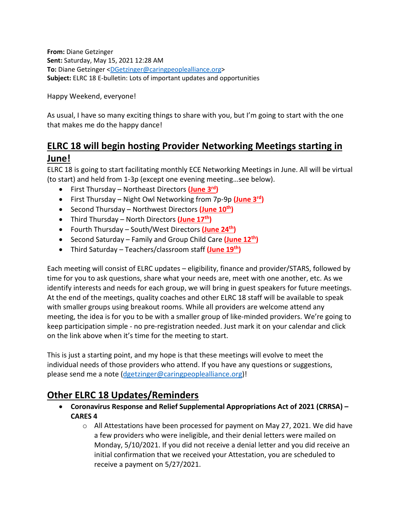**From:** Diane Getzinger **Sent:** Saturday, May 15, 2021 12:28 AM **To:** Diane Getzinger [<DGetzinger@caringpeoplealliance.org>](mailto:DGetzinger@caringpeoplealliance.org) **Subject:** ELRC 18 E-bulletin: Lots of important updates and opportunities

Happy Weekend, everyone!

As usual, I have so many exciting things to share with you, but I'm going to start with the one that makes me do the happy dance!

# **ELRC 18 will begin hosting Provider Networking Meetings starting in June!**

ELRC 18 is going to start facilitating monthly ECE Networking Meetings in June. All will be virtual (to start) and held from 1-3p (except one evening meeting…see below).

- First Thursday Northeast Directors **[\(June 3rd\)](https://teams.microsoft.com/l/meetup-join/19%3ameeting_NmFkZmE0NWUtZjU1Yi00MTU4LTk2NDItMDA5M2ZiMjVmN2E4%40thread.v2/0?context=%7b%22Tid%22%3a%2212b3abd7-e406-4fb3-b3f4-d04f7eee2472%22%2c%22Oid%22%3a%2289e21239-e245-4969-9709-6886ebe85734%22%7d)**
- First Thursday Night Owl Networking from 7p-9p **[\(June 3rd\)](https://teams.microsoft.com/l/meetup-join/19%3ameeting_Yzk3Y2ZlMzktMzY1Mi00ZTMxLWEzZjAtNGUxZDgwYjBlMGM1%40thread.v2/0?context=%7b%22Tid%22%3a%2212b3abd7-e406-4fb3-b3f4-d04f7eee2472%22%2c%22Oid%22%3a%2289e21239-e245-4969-9709-6886ebe85734%22%7d)**
- Second Thursday Northwest Directors **[\(June 10th\)](https://teams.microsoft.com/l/meetup-join/19%3ameeting_N2E4OTYyOTgtMmE5Ny00N2Q5LTk5YjEtODYzNTBhMWE2MmYy%40thread.v2/0?context=%7b%22Tid%22%3a%2212b3abd7-e406-4fb3-b3f4-d04f7eee2472%22%2c%22Oid%22%3a%2289e21239-e245-4969-9709-6886ebe85734%22%7d)**
- Third Thursday North Directors **[\(June 17th\)](https://teams.microsoft.com/l/meetup-join/19%3ameeting_YjZiNmFmNTctZWM3ZC00ZDJiLTllYjItNDQ5MjQ5NmVkMGU1%40thread.v2/0?context=%7b%22Tid%22%3a%2212b3abd7-e406-4fb3-b3f4-d04f7eee2472%22%2c%22Oid%22%3a%2289e21239-e245-4969-9709-6886ebe85734%22%7d)**
- Fourth Thursday South/West Directors **[\(June 24th\)](https://teams.microsoft.com/l/meetup-join/19%3ameeting_N2E0OTU0MGEtZWUzNi00YjA2LWIxMTQtZThmMmM0ZDNlOGI1%40thread.v2/0?context=%7b%22Tid%22%3a%2212b3abd7-e406-4fb3-b3f4-d04f7eee2472%22%2c%22Oid%22%3a%2289e21239-e245-4969-9709-6886ebe85734%22%7d)**
- Second Saturday Family and Group Child Care **[\(June 12th\)](https://teams.microsoft.com/l/meetup-join/19%3ameeting_NzkwMTYyMDEtZjhiOC00NDJhLTg0NGItOWRkYTljNWUzMjI3%40thread.v2/0?context=%7b%22Tid%22%3a%2212b3abd7-e406-4fb3-b3f4-d04f7eee2472%22%2c%22Oid%22%3a%2289e21239-e245-4969-9709-6886ebe85734%22%7d)**
- Third Saturday Teachers/classroom staff **[\(June 19th\)](https://teams.microsoft.com/l/meetup-join/19%3ameeting_NTBmYmMxNmEtYTZmNS00OWY4LThhOGQtN2VkNTE3YzUwOGE5%40thread.v2/0?context=%7b%22Tid%22%3a%2212b3abd7-e406-4fb3-b3f4-d04f7eee2472%22%2c%22Oid%22%3a%2289e21239-e245-4969-9709-6886ebe85734%22%7d)**

Each meeting will consist of ELRC updates – eligibility, finance and provider/STARS, followed by time for you to ask questions, share what your needs are, meet with one another, etc. As we identify interests and needs for each group, we will bring in guest speakers for future meetings. At the end of the meetings, quality coaches and other ELRC 18 staff will be available to speak with smaller groups using breakout rooms. While all providers are welcome attend any meeting, the idea is for you to be with a smaller group of like-minded providers. We're going to keep participation simple - no pre-registration needed. Just mark it on your calendar and click on the link above when it's time for the meeting to start.

This is just a starting point, and my hope is that these meetings will evolve to meet the individual needs of those providers who attend. If you have any questions or suggestions, please send me a note [\(dgetzinger@caringpeoplealliance.org\)](mailto:dgetzinger@caringpeoplealliance.org)!

# **Other ELRC 18 Updates/Reminders**

- **Coronavirus Response and Relief Supplemental Appropriations Act of 2021 (CRRSA) – CARES 4**
	- $\circ$  All Attestations have been processed for payment on May 27, 2021. We did have a few providers who were ineligible, and their denial letters were mailed on Monday, 5/10/2021. If you did not receive a denial letter and you did receive an initial confirmation that we received your Attestation, you are scheduled to receive a payment on 5/27/2021.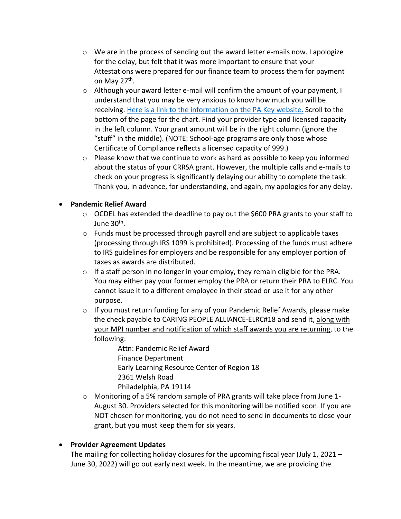- $\circ$  We are in the process of sending out the award letter e-mails now. I apologize for the delay, but felt that it was more important to ensure that your Attestations were prepared for our finance team to process them for payment on May 27<sup>th</sup>.
- $\circ$  Although your award letter e-mail will confirm the amount of your payment, I understand that you may be very anxious to know how much you will be receiving. [Here is a link to the information on the PA Key website.](https://www.pakeys.org/ececaresactfundingcontacts/) Scroll to the bottom of the page for the chart. Find your provider type and licensed capacity in the left column. Your grant amount will be in the right column (ignore the "stuff" in the middle). (NOTE: School-age programs are only those whose Certificate of Compliance reflects a licensed capacity of 999.)
- $\circ$  Please know that we continue to work as hard as possible to keep you informed about the status of your CRRSA grant. However, the multiple calls and e-mails to check on your progress is significantly delaying our ability to complete the task. Thank you, in advance, for understanding, and again, my apologies for any delay.

### • **Pandemic Relief Award**

- $\circ$  OCDEL has extended the deadline to pay out the \$600 PRA grants to your staff to June 30th.
- $\circ$  Funds must be processed through payroll and are subject to applicable taxes (processing through IRS 1099 is prohibited). Processing of the funds must adhere to IRS guidelines for employers and be responsible for any employer portion of taxes as awards are distributed.
- $\circ$  If a staff person in no longer in your employ, they remain eligible for the PRA. You may either pay your former employ the PRA or return their PRA to ELRC. You cannot issue it to a different employee in their stead or use it for any other purpose.
- o If you must return funding for any of your Pandemic Relief Awards, please make the check payable to CARING PEOPLE ALLIANCE-ELRC#18 and send it, along with your MPI number and notification of which staff awards you are returning, to the following:
	- Attn: Pandemic Relief Award Finance Department Early Learning Resource Center of Region 18 2361 Welsh Road Philadelphia, PA 19114
- o Monitoring of a 5% random sample of PRA grants will take place from June 1- August 30. Providers selected for this monitoring will be notified soon. If you are NOT chosen for monitoring, you do not need to send in documents to close your grant, but you must keep them for six years.

### • **Provider Agreement Updates**

The mailing for collecting holiday closures for the upcoming fiscal year (July 1, 2021 – June 30, 2022) will go out early next week. In the meantime, we are providing the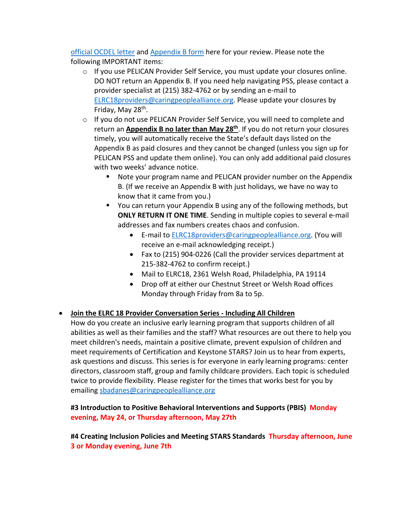[official OCDEL letter](https://www.dropbox.com/s/bl5kh0t4jdka7q5/Letter%20to%20Provider%20Closed%20Days%202021-2022.pdf?dl=0) and [Appendix B form](https://www.dropbox.com/s/cbxe9b10spuixop/Appendix%20B%202021-2022-%20FINAL.pdf?dl=0) here for your review. Please note the following IMPORTANT items:

- $\circ$  If you use PELICAN Provider Self Service, you must update your closures online. DO NOT return an Appendix B. If you need help navigating PSS, please contact a provider specialist at (215) 382-4762 or by sending an e-mail to [ELRC18providers@caringpeoplealliance.org.](mailto:ELRC18providers@caringpeoplealliance.org) Please update your closures by Friday, May 28<sup>th</sup>.
- $\circ$  If you do not use PELICAN Provider Self Service, you will need to complete and return an **Appendix B no later than May 28th**. If you do not return your closures timely, you will automatically receive the State's default days listed on the Appendix B as paid closures and they cannot be changed (unless you sign up for PELICAN PSS and update them online). You can only add additional paid closures with two weeks' advance notice.
	- Note your program name and PELICAN provider number on the Appendix B. (If we receive an Appendix B with just holidays, we have no way to know that it came from you.)
	- You can return your Appendix B using any of the following methods, but **ONLY RETURN IT ONE TIME**. Sending in multiple copies to several e-mail addresses and fax numbers creates chaos and confusion.
		- E-mail to [ELRC18providers@caringpeoplealliance.org.](mailto:ELRC18providers@caringpeoplealliance.org) (You will receive an e-mail acknowledging receipt.)
		- Fax to (215) 904-0226 (Call the provider services department at 215-382-4762 to confirm receipt.)
		- Mail to ELRC18, 2361 Welsh Road, Philadelphia, PA 19114
		- Drop off at either our Chestnut Street or Welsh Road offices Monday through Friday from 8a to 5p.
- **Join the ELRC 18 Provider Conversation Series - Including All Children**
	- How do you create an inclusive early learning program that supports children of all abilities as well as their families and the staff? What resources are out there to help you meet children's needs, maintain a positive climate, prevent expulsion of children and meet requirements of Certification and Keystone STARS? Join us to hear from experts, ask questions and discuss. This series is for everyone in early learning programs: center directors, classroom staff, group and family childcare providers. Each topic is scheduled twice to provide flexibility. Please register for the times that works best for you by emailing [sbadanes@caringpeoplealliance.org](mailto:sbadanes@caringpeoplealliance.org)

**#3 Introduction to Positive Behavioral Interventions and Supports (PBIS) Monday evening, May 24, or Thursday afternoon, May 27th**

**#4 Creating Inclusion Policies and Meeting STARS Standards Thursday afternoon, June 3 or Monday evening, June 7th**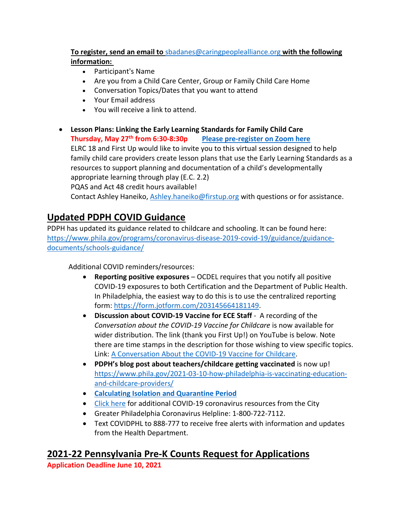### **To register, send an email to** [sbadanes@caringpeoplealliance.org](mailto:sbadanes@caringpeoplealliance.org) **with the following information:**

- Participant's Name
- Are you from a Child Care Center, Group or Family Child Care Home
- Conversation Topics/Dates that you want to attend
- Your Email address
- You will receive a link to attend.
- **Lesson Plans: Linking the Early Learning Standards for Family Child Care Thursday, May 27th from 6:30-8:30p [Please pre-register on Zoom here](https://zoom.us/meeting/register/tJAsdO-spjIuEtDOvf-AO12gnG7sFqTQgYuP)** ELRC 18 and First Up would like to invite you to this virtual session designed to help family child care providers create lesson plans that use the Early Learning Standards as a resources to support planning and documentation of a child's developmentally appropriate learning through play (E.C. 2.2) PQAS and Act 48 credit hours available! Contact Ashley Haneiko, [Ashley.haneiko@firstup.org](mailto:Ashley.haneiko@firstup.org) with questions or for assistance.

# **Updated PDPH COVID Guidance**

PDPH has updated its guidance related to childcare and schooling. It can be found here: [https://www.phila.gov/programs/coronavirus-disease-2019-covid-19/guidance/guidance](https://www.phila.gov/programs/coronavirus-disease-2019-covid-19/guidance/guidance-documents/schools-guidance/)[documents/schools-guidance/](https://www.phila.gov/programs/coronavirus-disease-2019-covid-19/guidance/guidance-documents/schools-guidance/)

Additional COVID reminders/resources:

- **Reporting positive exposures** OCDEL requires that you notify all positive COVID-19 exposures to both Certification and the Department of Public Health. In Philadelphia, the easiest way to do this is to use the centralized reporting form: [https://form.jotform.com/203145664181149.](https://form.jotform.com/203145664181149)
- **Discussion about COVID-19 Vaccine for ECE Staff** A recording of the *Conversation about the COVID-19 Vaccine for Childcare* is now available for wider distribution. The link (thank you First Up!) on YouTube is below. Note there are time stamps in the description for those wishing to view specific topics. Link: [A Conversation About the COVID-19 Vaccine for](https://www.youtube.com/watch?v=l9-M2Fj3shE) Childcare.
- **PDPH's blog post about teachers/childcare getting vaccinated** is now up! [https://www.phila.gov/2021-03-10-how-philadelphia-is-vaccinating-education](https://www.phila.gov/2021-03-10-how-philadelphia-is-vaccinating-education-and-childcare-providers/)[and-childcare-providers/](https://www.phila.gov/2021-03-10-how-philadelphia-is-vaccinating-education-and-childcare-providers/)
- **[Calculating Isolation and Quarantine Period](https://www.phila.gov/media/20201119161650/Quarantine-Visual-Aid-.pdf)**
- [Click here](https://www.phila.gov/programs/coronavirus-disease-2019-covid-19/guidance/guidance-documents/#/) for additional COVID-19 coronavirus resources from the City
- Greater Philadelphia Coronavirus Helpline: 1-800-722-7112.
- Text COVIDPHL to 888-777 to receive free alerts with information and updates from the Health Department.

# **2021-22 Pennsylvania Pre-K Counts Request for Applications**

**Application Deadline June 10, 2021**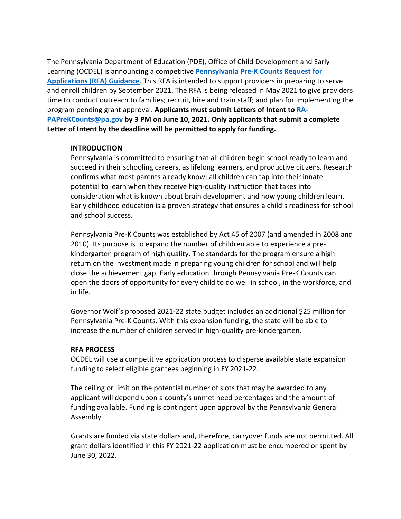The Pennsylvania Department of Education (PDE), Office of Child Development and Early Learning (OCDEL) is announcing a competitive **[Pennsylvania Pre-K Counts Request for](https://www.pakeys.org/getting-started/ocdel-programs/pre-k-counts/how-to-apply/)  [Applications \(RFA\) Guidance](https://www.pakeys.org/getting-started/ocdel-programs/pre-k-counts/how-to-apply/)**. This RFA is intended to support providers in preparing to serve and enroll children by September 2021. The RFA is being released in May 2021 to give providers time to conduct outreach to families; recruit, hire and train staff; and plan for implementing the program pending grant approval. **Applicants must submit Letters of Intent to [RA-](mailto:RA-PAPreKCounts@pa.gov)[PAPreKCounts@pa.gov](mailto:RA-PAPreKCounts@pa.gov) by 3 PM on June 10, 2021. Only applicants that submit a complete Letter of Intent by the deadline will be permitted to apply for funding.**

#### **INTRODUCTION**

Pennsylvania is committed to ensuring that all children begin school ready to learn and succeed in their schooling careers, as lifelong learners, and productive citizens. Research confirms what most parents already know: all children can tap into their innate potential to learn when they receive high-quality instruction that takes into consideration what is known about brain development and how young children learn. Early childhood education is a proven strategy that ensures a child's readiness for school and school success.

Pennsylvania Pre-K Counts was established by Act 45 of 2007 (and amended in 2008 and 2010). Its purpose is to expand the number of children able to experience a prekindergarten program of high quality. The standards for the program ensure a high return on the investment made in preparing young children for school and will help close the achievement gap. Early education through Pennsylvania Pre-K Counts can open the doors of opportunity for every child to do well in school, in the workforce, and in life.

Governor Wolf's proposed 2021-22 state budget includes an additional \$25 million for Pennsylvania Pre-K Counts. With this expansion funding, the state will be able to increase the number of children served in high-quality pre-kindergarten.

#### **RFA PROCESS**

OCDEL will use a competitive application process to disperse available state expansion funding to select eligible grantees beginning in FY 2021-22.

The ceiling or limit on the potential number of slots that may be awarded to any applicant will depend upon a county's unmet need percentages and the amount of funding available. Funding is contingent upon approval by the Pennsylvania General Assembly.

Grants are funded via state dollars and, therefore, carryover funds are not permitted. All grant dollars identified in this FY 2021-22 application must be encumbered or spent by June 30, 2022.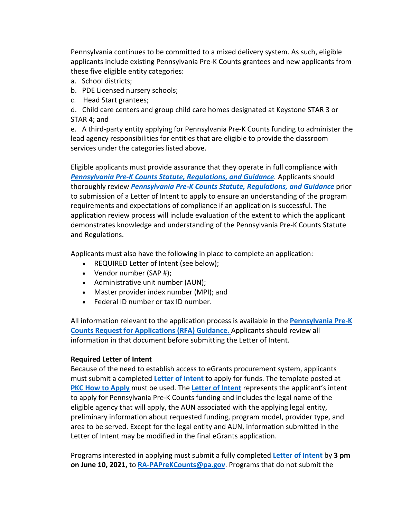Pennsylvania continues to be committed to a mixed delivery system. As such, eligible applicants include existing Pennsylvania Pre-K Counts grantees and new applicants from these five eligible entity categories:

- a. School districts;
- b. PDE Licensed nursery schools;
- c. Head Start grantees;
- d. Child care centers and group child care homes designated at Keystone STAR 3 or STAR 4; and

e. A third-party entity applying for Pennsylvania Pre-K Counts funding to administer the lead agency responsibilities for entities that are eligible to provide the classroom services under the categories listed above.

Eligible applicants must provide assurance that they operate in full compliance with **[Pennsylvania Pre-K Counts Statute, Regulations, and Guidance](https://s35729.pcdn.co/wp-content/uploads/2020/07/FINAL2020_PKCreg.guidance-.pdf)**. Applicants should thoroughly review *[Pennsylvania Pre-K Counts Statute, Regulations, and Guidance](https://s35729.pcdn.co/wp-content/uploads/2020/07/FINAL2020_PKCreg.guidance-.pdf)* prior to submission of a Letter of Intent to apply to ensure an understanding of the program requirements and expectations of compliance if an application is successful. The application review process will include evaluation of the extent to which the applicant demonstrates knowledge and understanding of the Pennsylvania Pre-K Counts Statute and Regulations.

Applicants must also have the following in place to complete an application:

- REQUIRED Letter of Intent (see below);
- Vendor number (SAP #);
- Administrative unit number (AUN);
- Master provider index number (MPI); and
- Federal ID number or tax ID number.

All information relevant to the application process is available in the **[Pennsylvania Pre-K](https://s35729.pcdn.co/wp-content/uploads/2021/05/2021-FINAL-PKC-Application-Guidance-5.13.2021.pdf)  [Counts Request for Applications \(RFA\) Guidance](https://s35729.pcdn.co/wp-content/uploads/2021/05/2021-FINAL-PKC-Application-Guidance-5.13.2021.pdf)[.](https://protect-us.mimecast.com/s/efECCL92W2IXE19fm2oCP)** Applicants should review all information in that document before submitting the Letter of Intent.

#### **Required Letter of Intent**

Because of the need to establish access to eGrants procurement system, applicants must submit a completed **[Letter of Intent](https://s35729.pcdn.co/wp-content/uploads/2021/05/2021_PKC_-FINAL-Letter-of-Intent.pdf)** to apply for funds. The template posted at **[PKC How to Apply](https://www.pakeys.org/getting-started/ocdel-programs/pre-k-counts/how-to-apply/)** must be used. The **[Letter of Intent](https://s35729.pcdn.co/wp-content/uploads/2021/05/2021_PKC_-FINAL-Letter-of-Intent.pdf)** represents the applicant's intent to apply for Pennsylvania Pre-K Counts funding and includes the legal name of the eligible agency that will apply, the AUN associated with the applying legal entity, preliminary information about requested funding, program model, provider type, and area to be served. Except for the legal entity and AUN, information submitted in the Letter of Intent may be modified in the final eGrants application.

Programs interested in applying must submit a fully completed **[Letter of Intent](https://s35729.pcdn.co/wp-content/uploads/2021/05/2021_PKC_-FINAL-Letter-of-Intent.pdf)** by **3 pm on June 10, 2021,** to **[RA-PAPreKCounts@pa.gov](mailto:RA-PAPreKCounts@pa.gov)**. Programs that do not submit the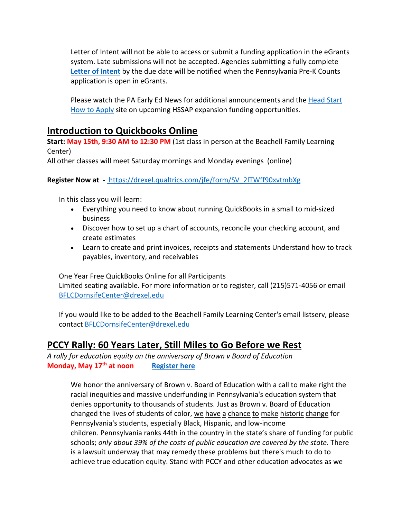Letter of Intent will not be able to access or submit a funding application in the eGrants system. Late submissions will not be accepted. Agencies submitting a fully complete **[Letter of Intent](https://s35729.pcdn.co/wp-content/uploads/2021/05/2021_PKC_-FINAL-Letter-of-Intent.pdf)** by the due date will be notified when the Pennsylvania Pre-K Counts application is open in eGrants.

Please watch the PA Early Ed News for additional announcements and the [Head Start](https://www.pakeys.org/getting-started/ocdel-programs/head-start/hssap-how-to-apply/)  [How to Apply](https://www.pakeys.org/getting-started/ocdel-programs/head-start/hssap-how-to-apply/) site on upcoming HSSAP expansion funding opportunities.

### **Introduction to Quickbooks Online**

**Start: May 15th, 9:30 AM to 12:30 PM** (1st class in person at the Beachell Family Learning Center)

All other classes will meet Saturday mornings and Monday evenings (online)

### **Register Now at -** [https://drexel.qualtrics.com/jfe/form/SV\\_2lTWff90xvtmbXg](https://drexel.qualtrics.com/jfe/form/SV_2lTWff90xvtmbXg)

In this class you will learn:

- Everything you need to know about running QuickBooks in a small to mid-sized business
- Discover how to set up a chart of accounts, reconcile your checking account, and create estimates
- Learn to create and print invoices, receipts and statements Understand how to track payables, inventory, and receivables

One Year Free QuickBooks Online for all Participants Limited seating available. For more information or to register, call (215)571-4056 or email [BFLCDornsifeCenter@drexel.edu](mailto:BFLCDornsifeCenter@drexel.edu)

If you would like to be added to the Beachell Family Learning Center's email listserv, please contact [BFLCDornsifeCenter@drexel.edu](mailto:BFLCDornsifeCenter@drexel.edu)

### **PCCY Rally: 60 Years Later, Still Miles to Go Before we Rest**

*A rally for education equity on the anniversary of Brown v Board of Education* **Monday, May 17th at noon [Register here](https://zoom.us/webinar/register/WN_R0-Xrf0bTMqIDx0OUTLUHA?emci=5f39340c-93b2-eb11-85aa-0050f237abef&emdi=7abc245a-29b3-eb11-a7ad-0050f271b5d8&ceid=5197264)**

We honor the anniversary of Brown v. Board of Education with a call to make right the racial inequities and massive underfunding in Pennsylvania's education system that denies opportunity to thousands of students. Just as Brown v. Board of Education changed the lives of students of color, we have a chance to make historic change for Pennsylvania's students, especially Black, Hispanic, and low-income children. Pennsylvania ranks 44th in the country in the state's share of funding for public schools; *only about 39% of the costs of public education are covered by the state*. There is a lawsuit underway that may remedy these problems but there's much to do to achieve true education equity. Stand with PCCY and other education advocates as we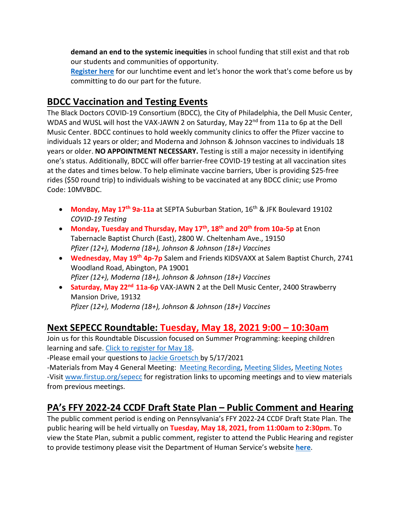**demand an end to the systemic inequities** in school funding that still exist and that rob our students and communities of opportunity.

**[Register here](https://zoom.us/webinar/register/WN_R0-Xrf0bTMqIDx0OUTLUHA?emci=5f39340c-93b2-eb11-85aa-0050f237abef&emdi=7abc245a-29b3-eb11-a7ad-0050f271b5d8&ceid=5197264)** for our lunchtime event and let's honor the work that's come before us by committing to do our part for the future.

## **BDCC Vaccination and Testing Events**

The Black Doctors COVID-19 Consortium (BDCC), the City of Philadelphia, the Dell Music Center, WDAS and WUSL will host the VAX-JAWN 2 on Saturday, May 22<sup>nd</sup> from 11a to 6p at the Dell Music Center. BDCC continues to hold weekly community clinics to offer the Pfizer vaccine to individuals 12 years or older; and Moderna and Johnson & Johnson vaccines to individuals 18 years or older. **NO APPOINTMENT NECESSARY.** Testing is still a major necessity in identifying one's status. Additionally, BDCC will offer barrier-free COVID-19 testing at all vaccination sites at the dates and times below. To help eliminate vaccine barriers, Uber is providing \$25-free rides (\$50 round trip) to individuals wishing to be vaccinated at any BDCC clinic; use Promo Code: 10MVBDC.

- **Monday, May 17th 9a-11a** at SEPTA Suburban Station, 16th & JFK Boulevard 19102 *COVID-19 Testing*
- **Monday, Tuesday and Thursday, May 17th, 18th and 20th from 10a-5p** at Enon Tabernacle Baptist Church (East), 2800 W. Cheltenham Ave., 19150 *Pfizer (12+), Moderna (18+), Johnson & Johnson (18+) Vaccines*
- **Wednesday, May 19th 4p-7p** Salem and Friends KIDSVAXX at Salem Baptist Church, 2741 Woodland Road, Abington, PA 19001 *Pfizer (12+), Moderna (18+), Johnson & Johnson (18+) Vaccines*
- **Saturday, May 22nd 11a-6p** VAX-JAWN 2 at the Dell Music Center, 2400 Strawberry Mansion Drive, 19132 *Pfizer (12+), Moderna (18+), Johnson & Johnson (18+) Vaccines*

# **Next SEPECC Roundtable: Tuesday, May 18, 2021 9:00 – 10:30am**

Join us for this Roundtable Discussion focused on Summer Programming: keeping children learning and safe. [Click to register for May 18.](https://zoom.us/meeting/register/tJcuc--qrz8pG9DpeNxr6_Y6Uy-KELCF2ReN)

-Please email your questions to [Jackie Groetsch b](mailto:jackie.groetsch@firstup.org)y 5/17/2021

-Materials from May 4 General Meeting: [Meeting Recording,](https://www.youtube.com/watch?v=_sAu6kWCWio) [Meeting Slides,](https://www.firstup.org/wp-content/uploads/2016/02/SEPECC-Mtg.-Slides-5.4.2021.pdf) [Meeting Notes](https://www.firstup.org/wp-content/uploads/2016/02/SEPECC-Meeting-Notes-5_4_2021.pdf) -Visit [www.firstup.org/sepecc](https://www.firstup.org/sepecc/) for registration links to upcoming meetings and to view materials from previous meetings.

# **PA's FFY 2022-24 CCDF Draft State Plan – Public Comment and Hearing**

The public comment period is ending on Pennsylvania's FFY 2022-24 CCDF Draft State Plan. The public hearing will be held virtually on **Tuesday, May 18, 2021, from 11:00am to 2:30pm**. To view the State Plan, submit a public comment, register to attend the Public Hearing and register to provide testimony please visit the Department of Human Service's website **[here](https://www.dhs.pa.gov/Services/Children/Pages/Child-Care-Early-Learning.aspx)**.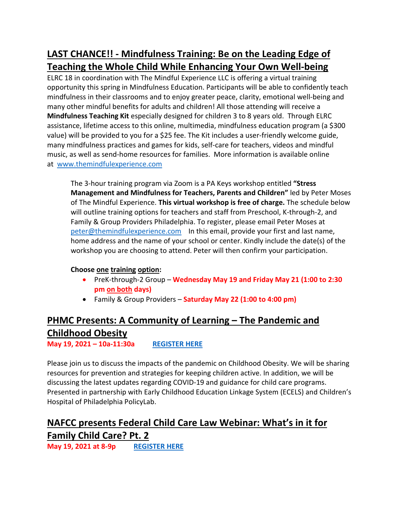# **LAST CHANCE!! - Mindfulness Training: Be on the Leading Edge of Teaching the Whole Child While Enhancing Your Own Well-being**

ELRC 18 in coordination with The Mindful Experience LLC is offering a virtual training opportunity this spring in Mindfulness Education. Participants will be able to confidently teach mindfulness in their classrooms and to enjoy greater peace, clarity, emotional well-being and many other mindful benefits for adults and children! All those attending will receive a **Mindfulness Teaching Kit** especially designed for children 3 to 8 years old. Through ELRC assistance, lifetime access to this online, multimedia, mindfulness education program (a \$300 value) will be provided to you for a \$25 fee. The Kit includes a user-friendly welcome guide, many mindfulness practices and games for kids, self-care for teachers, videos and mindful music, as well as send-home resources for families. More information is available online at [www.themindfulexperience.com](http://www.themindfulexperience.com/)

The 3-hour training program via Zoom is a PA Keys workshop entitled **"Stress Management and Mindfulness for Teachers, Parents and Children"** led by Peter Moses of The Mindful Experience. **This virtual workshop is free of charge.** The schedule below will outline training options for teachers and staff from Preschool, K-through-2, and Family & Group Providers Philadelphia. To register, please email Peter Moses at [peter@themindfulexperience.com](mailto:peter@themindfulexperience.com) In this email, provide your first and last name, home address and the name of your school or center. Kindly include the date(s) of the workshop you are choosing to attend. Peter will then confirm your participation.

### **Choose one training option:**

- PreK-through-2 Group **Wednesday May 19 and Friday May 21 (1:00 to 2:30 pm on both days)**
- Family & Group Providers **Saturday May 22 (1:00 to 4:00 pm)**

# **PHMC Presents: A Community of Learning – The Pandemic and Childhood Obesity**

**May 19, 2021 – 10a-11:30a [REGISTER HERE](https://register.gotowebinar.com/register/8158513030349789965)**

Please join us to discuss the impacts of the pandemic on Childhood Obesity. We will be sharing resources for prevention and strategies for keeping children active. In addition, we will be discussing the latest updates regarding COVID-19 and guidance for child care programs. Presented in partnership with Early Childhood Education Linkage System (ECELS) and Children's Hospital of Philadelphia PolicyLab.

# **NAFCC presents Federal Child Care Law Webinar: What's in it for Family Child Care? Pt. 2**

**May 19, 2021 at 8-9p [REGISTER HERE](https://us02web.zoom.us/webinar/register/WN_8Egz1sXMRw6r4mFkQCTDAQ)**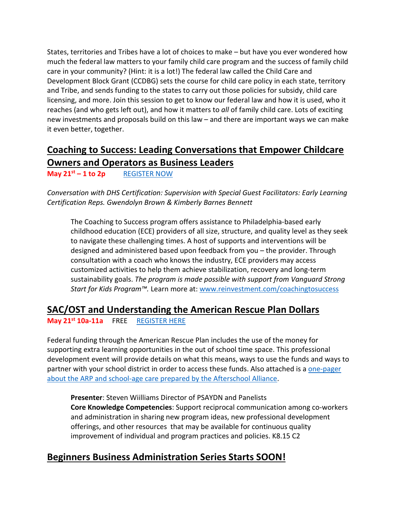States, territories and Tribes have a lot of choices to make – but have you ever wondered how much the federal law matters to your family child care program and the success of family child care in your community? (Hint: it is a lot!) The federal law called the Child Care and Development Block Grant (CCDBG) sets the course for child care policy in each state, territory and Tribe, and sends funding to the states to carry out those policies for subsidy, child care licensing, and more. Join this session to get to know our federal law and how it is used, who it reaches (and who gets left out), and how it matters to *all* of family child care. Lots of exciting new investments and proposals build on this law – and there are important ways we can make it even better, together.

# **Coaching to Success: Leading Conversations that Empower Childcare Owners and Operators as Business Leaders**

**May 21st – 1 to 2p** [REGISTER NOW](https://www.eventbrite.com/e/coaching-to-success-may-2021-series-tickets-153656634129?aff=erelexpmlt)

*Conversation with DHS Certification: Supervision with Special Guest Facilitators: Early Learning Certification Reps. Gwendolyn Brown & Kimberly Barnes Bennett*

The Coaching to Success program offers assistance to Philadelphia-based early childhood education (ECE) providers of all size, structure, and quality level as they seek to navigate these challenging times. A host of supports and interventions will be designed and administered based upon feedback from you – the provider. Through consultation with a coach who knows the industry, ECE providers may access customized activities to help them achieve stabilization, recovery and long-term sustainability goals. *The program is made possible with support from Vanguard Strong Start for Kids Program™.* Learn more at[: www.reinvestment.com/coachingtosuccess](http://www.reinvestment.com/coachingtosuccess)

### **SAC/OST and Understanding the American Rescue Plan Dollars**

**May 21st 10a-11a** FREE [REGISTER HERE](https://www.papdregistry.org/register.aspx?evid=326584)

Federal funding through the American Rescue Plan includes the use of the money for supporting extra learning opportunities in the out of school time space. This professional development event will provide details on what this means, ways to use the funds and ways to partner with your school district in order to access these funds. Also attached is [a one-pager](https://www.dropbox.com/s/hzuyyi5wlqbmwyz/Afterschool%20Alliance%20ARP%20One-pager.pdf?dl=0)  about the ARP and [school-age care prepared by the Afterschool Alliance.](https://www.dropbox.com/s/hzuyyi5wlqbmwyz/Afterschool%20Alliance%20ARP%20One-pager.pdf?dl=0)

**Presenter**: Steven Wiilliams Director of PSAYDN and Panelists **Core Knowledge Competencies**: Support reciprocal communication among co-workers and administration in sharing new program ideas, new professional development offerings, and other resources that may be available for continuous quality improvement of individual and program practices and policies. K8.15 C2

# **Beginners Business Administration Series Starts SOON!**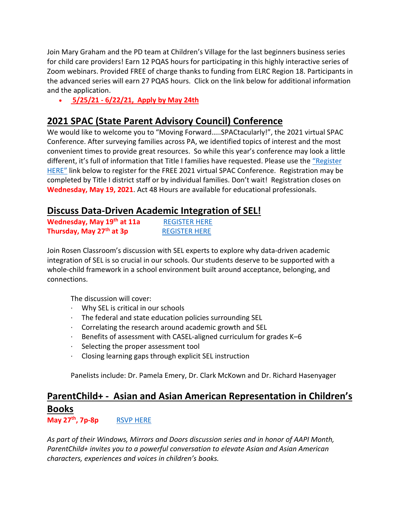Join Mary Graham and the PD team at Children's Village for the last beginners business series for child care providers! Earn 12 PQAS hours for participating in this highly interactive series of Zoom webinars. Provided FREE of charge thanks to funding from ELRC Region 18. Participants in the advanced series will earn 27 PQAS hours. Click on the link below for additional information and the application.

• **5/25/21 - 6/22/21, [Apply by May](https://mcusercontent.com/e33067afbd3d90634f2953f28/files/82491ccc-64e0-4f61-ade8-ac2983f1450c/May_June_2021_ELRC_ECE_Beginner_Business_Admin_Center_Director_Series_Flyer_App_002_.pdf) 24th**

### **2021 SPAC (State Parent Advisory Council) Conference**

We would like to welcome you to "Moving Forward…..SPACtacularly!", the 2021 virtual SPAC Conference. After surveying families across PA, we identified topics of interest and the most convenient times to provide great resources. So while this year's conference may look a little different, it's full of information that Title I families have requested. Please use the ["Register](https://www.spac.k12.pa.us/spac-conference)  [HERE"](https://www.spac.k12.pa.us/spac-conference) link below to register for the FREE 2021 virtual SPAC Conference. Registration may be completed by Title I district staff or by individual families. Don't wait! Registration closes on **Wednesday, May 19, 2021**. Act 48 Hours are available for educational professionals.

### **Discuss Data-Driven Academic Integration of SEL!**

| Wednesday, May 19th at 11a           | <b>REGISTER HERE</b> |
|--------------------------------------|----------------------|
| Thursday, May 27 <sup>th</sup> at 3p | <b>REGISTER HERE</b> |

Join Rosen Classroom's discussion with SEL experts to explore why data-driven academic integration of SEL is so crucial in our schools. Our students deserve to be supported with a whole-child framework in a school environment built around acceptance, belonging, and connections.

The discussion will cover:

- · Why SEL is critical in our schools
- · The federal and state education policies surrounding SEL
- · Correlating the research around academic growth and SEL
- $\cdot$  Benefits of assessment with CASEL-aligned curriculum for grades K–6
- · Selecting the proper assessment tool
- · Closing learning gaps through explicit SEL instruction

Panelists include: Dr. Pamela Emery, Dr. Clark McKown and Dr. Richard Hasenyager

# **ParentChild+ - Asian and Asian American Representation in Children's Books**

**May 27<sup>th</sup>, 7p-8p** [RSVP HERE](https://windowsmirrorsdoors-parentchildplus.splashthat.com/)

*As part of their Windows, Mirrors and Doors discussion series and in honor of AAPI Month, ParentChild+ invites you to a powerful conversation to elevate Asian and Asian American characters, experiences and voices in children's books.*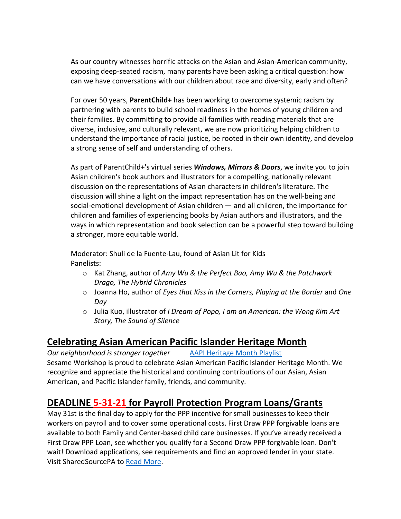As our country witnesses horrific attacks on the Asian and Asian-American community, exposing deep-seated racism, many parents have been asking a critical question: how can we have conversations with our children about race and diversity, early and often?

For over 50 years, **ParentChild+** has been working to overcome systemic racism by partnering with parents to build school readiness in the homes of young children and their families. By committing to provide all families with reading materials that are diverse, inclusive, and culturally relevant, we are now prioritizing helping children to understand the importance of racial justice, be rooted in their own identity, and develop a strong sense of self and understanding of others.

As part of ParentChild+'s virtual series *Windows, Mirrors & Doors*, we invite you to join Asian children's book authors and illustrators for a compelling, nationally relevant discussion on the representations of Asian characters in children's literature. The discussion will shine a light on the impact representation has on the well-being and social-emotional development of Asian children — and all children, the importance for children and families of experiencing books by Asian authors and illustrators, and the ways in which representation and book selection can be a powerful step toward building a stronger, more equitable world.

Moderator: Shuli de la Fuente-Lau, found of Asian Lit for Kids Panelists:

- o Kat Zhang, author of *Amy Wu & the Perfect Bao, Amy Wu & the Patchwork Drago, The Hybrid Chronicles*
- o Joanna Ho, author of *Eyes that Kiss in the Corners, Playing at the Border* and *One Day*
- o Julia Kuo, illustrator of *I Dream of Popo, I am an American: the Wong Kim Art Story, The Sound of Silence*

# **Celebrating Asian American Pacific Islander Heritage Month**

*Our neighborhood is stronger together* [AAPI Heritage Month Playlist](https://www.youtube.com/playlist?list=PL8TioFHubWFvBz6_CCUPCyafLyQmEnHh8) Sesame Workshop is proud to celebrate Asian American Pacific Islander Heritage Month. We recognize and appreciate the historical and continuing contributions of our Asian, Asian American, and Pacific Islander family, friends, and community.

# **DEADLINE 5-31-21 for Payroll Protection Program Loans/Grants**

May 31st is the final day to apply for the PPP incentive for small businesses to keep their workers on payroll and to cover some operational costs. First Draw PPP forgivable loans are available to both Family and Center-based child care businesses. If you've already received a First Draw PPP Loan, see whether you qualify for a Second Draw PPP forgivable loan. Don't wait! Download applications, see requirements and find an approved lender in your state. Visit SharedSourcePA to [Read More.](https://www.sharedsourcepa.org/marketing-home/)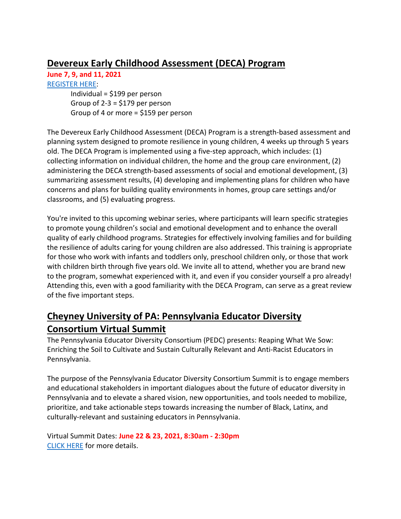## **Devereux Early Childhood Assessment (DECA) Program**

**June 7, 9, and 11, 2021**

[REGISTER HERE:](https://web.cvent.com/event/d0121e71-f3a7-4f43-8d5c-23d9d0736a90/summary?RefId=may6promo) Individual = \$199 per person Group of  $2-3 = $179$  per person Group of 4 or more = \$159 per person

The Devereux Early Childhood Assessment (DECA) Program is a strength-based assessment and planning system designed to promote resilience in young children, 4 weeks up through 5 years old. The DECA Program is implemented using a five-step approach, which includes: (1) collecting information on individual children, the home and the group care environment, (2) administering the DECA strength-based assessments of social and emotional development, (3) summarizing assessment results, (4) developing and implementing plans for children who have concerns and plans for building quality environments in homes, group care settings and/or classrooms, and (5) evaluating progress.

You're invited to this upcoming webinar series, where participants will learn specific strategies to promote young children's social and emotional development and to enhance the overall quality of early childhood programs. Strategies for effectively involving families and for building the resilience of adults caring for young children are also addressed. This training is appropriate for those who work with infants and toddlers only, preschool children only, or those that work with children birth through five years old. We invite all to attend, whether you are brand new to the program, somewhat experienced with it, and even if you consider yourself a pro already! Attending this, even with a good familiarity with the DECA Program, can serve as a great review of the five important steps.

# **Cheyney University of PA: Pennsylvania Educator Diversity Consortium Virtual Summit**

The Pennsylvania Educator Diversity Consortium (PEDC) presents: Reaping What We Sow: Enriching the Soil to Cultivate and Sustain Culturally Relevant and Anti-Racist Educators in Pennsylvania.

The purpose of the Pennsylvania Educator Diversity Consortium Summit is to engage members and educational stakeholders in important dialogues about the future of educator diversity in Pennsylvania and to elevate a shared vision, new opportunities, and tools needed to mobilize, prioritize, and take actionable steps towards increasing the number of Black, Latinx, and culturally-relevant and sustaining educators in Pennsylvania.

Virtual Summit Dates: **June 22 & 23, 2021, 8:30am - 2:30pm** [CLICK HERE](https://cheyney.edu/PEDCSummit2021/) for more details.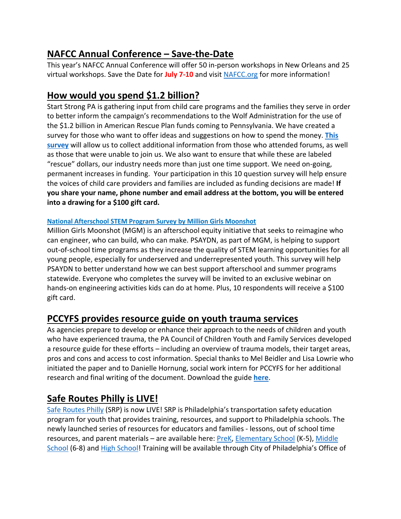# **NAFCC Annual Conference – Save-the-Date**

This year's NAFCC Annual Conference will offer 50 in-person workshops in New Orleans and 25 virtual workshops. Save the Date for **July 7-10** and visit [NAFCC.org](http://www.nafcc.org/) for more information!

## **How would you spend \$1.2 billion?**

Start Strong PA is gathering input from child care programs and the families they serve in order to better inform the campaign's recommendations to the Wolf Administration for the use of the \$1.2 billion in American Rescue Plan funds coming to Pennsylvania. We have created a survey for those who want to offer ideas and suggestions on how to spend the money. **[This](https://lp.constantcontactpages.com/sv/N67TmAl/ForumSurvey?source_id=5817089e-4160-4065-9154-206bb3ecd13c&source_type=em&c=DuL8LlBwciWuYEurGgdu3ndnr9FhkfOQZVrs_gukkqSlNw2zoDuFZw==)  [survey](https://lp.constantcontactpages.com/sv/N67TmAl/ForumSurvey?source_id=5817089e-4160-4065-9154-206bb3ecd13c&source_type=em&c=DuL8LlBwciWuYEurGgdu3ndnr9FhkfOQZVrs_gukkqSlNw2zoDuFZw==)** will allow us to collect additional information from those who attended forums, as well as those that were unable to join us. We also want to ensure that while these are labeled "rescue" dollars, our industry needs more than just one time support. We need on-going, permanent increases in funding. Your participation in this 10 question survey will help ensure the voices of child care providers and families are included as funding decisions are made! **If you share your name, phone number and email address at the bottom, you will be entered into a drawing for a \$100 gift card.**

### **[National Afterschool STEM Program Survey by Million Girls Moonshot](https://protect-us.mimecast.com/s/IW9oCW6lolhx2NWixEwDU)**

Million Girls Moonshot (MGM) is an afterschool equity initiative that seeks to reimagine who can engineer, who can build, who can make. PSAYDN, as part of MGM, is helping to support out-of-school time programs as they increase the quality of STEM learning opportunities for all young people, especially for underserved and underrepresented youth. This survey will help PSAYDN to better understand how we can best support afterschool and summer programs statewide. Everyone who completes the survey will be invited to an exclusive webinar on hands-on engineering activities kids can do at home. Plus, 10 respondents will receive a \$100 gift card.

### **PCCYFS provides resource guide on youth trauma services**

As agencies prepare to develop or enhance their approach to the needs of children and youth who have experienced trauma, the PA Council of Children Youth and Family Services developed a resource guide for these efforts – including an overview of trauma models, their target areas, pros and cons and access to cost information. Special thanks to Mel Beidler and Lisa Lowrie who initiated the paper and to Danielle Hornung, social work intern for PCCYFS for her additional research and final writing of the document. Download the guide **[here](https://files.constantcontact.com/1208174e001/d50de09d-7d53-4784-9c1f-c201320d10af.pdf)**.

### **Safe Routes Philly is LIVE!**

[Safe Routes Philly](https://nam10.safelinks.protection.outlook.com/?url=http%3A%2F%2Fphila.gov%2Fsafe-routes-philly&data=04%7C01%7Cmdm435%40drexel.edu%7Cb6fb317111dd4aca468d08d900300fbd%7C3664e6fa47bd45a696708c4f080f8ca6%7C0%7C0%7C637541028676563356%7CUnknown%7CTWFpbGZsb3d8eyJWIjoiMC4wLjAwMDAiLCJQIjoiV2luMzIiLCJBTiI6Ik1haWwiLCJXVCI6Mn0%3D%7C1000&sdata=ynuLo5bcs1oZKYGAGD4h6n4q0HhGjGzDMIUS4J1N35w%3D&reserved=0) (SRP) is now LIVE! SRP is Philadelphia's transportation safety education program for youth that provides training, resources, and support to Philadelphia schools. The newly launched series of resources for educators and families - lessons, out of school time resources, and parent materials – are available here: [PreK,](https://nam10.safelinks.protection.outlook.com/?url=https%3A%2F%2Fwww.phila.gov%2Fprograms%2Fsafe-routes-philly%2Fresources%2Fpre-k%2F&data=04%7C01%7Cmdm435%40drexel.edu%7Cb6fb317111dd4aca468d08d900300fbd%7C3664e6fa47bd45a696708c4f080f8ca6%7C0%7C0%7C637541028676563356%7CUnknown%7CTWFpbGZsb3d8eyJWIjoiMC4wLjAwMDAiLCJQIjoiV2luMzIiLCJBTiI6Ik1haWwiLCJXVCI6Mn0%3D%7C1000&sdata=E4i%2FG%2Faf4qfJk1xsbQMbM3Ze673CshuuJTvVPWfIt2o%3D&reserved=0) [Elementary School](https://nam10.safelinks.protection.outlook.com/?url=https%3A%2F%2Fwww.phila.gov%2Fprograms%2Fsafe-routes-philly%2Fresources%2Felementary-school%2F&data=04%7C01%7Cmdm435%40drexel.edu%7Cb6fb317111dd4aca468d08d900300fbd%7C3664e6fa47bd45a696708c4f080f8ca6%7C0%7C0%7C637541028676573355%7CUnknown%7CTWFpbGZsb3d8eyJWIjoiMC4wLjAwMDAiLCJQIjoiV2luMzIiLCJBTiI6Ik1haWwiLCJXVCI6Mn0%3D%7C1000&sdata=kUdQ37loIkxKyVT4DWj2z8vYjMnuby6x8g0rYEVzRlA%3D&reserved=0) (K-5), [Middle](https://nam10.safelinks.protection.outlook.com/?url=https%3A%2F%2Fwww.phila.gov%2Fprograms%2Fsafe-routes-philly%2Fresources%2Fmiddle-school%2F&data=04%7C01%7Cmdm435%40drexel.edu%7Cb6fb317111dd4aca468d08d900300fbd%7C3664e6fa47bd45a696708c4f080f8ca6%7C0%7C0%7C637541028676573355%7CUnknown%7CTWFpbGZsb3d8eyJWIjoiMC4wLjAwMDAiLCJQIjoiV2luMzIiLCJBTiI6Ik1haWwiLCJXVCI6Mn0%3D%7C1000&sdata=r2PIeDlX4Ew%2BjX%2B3BEMOZcbMXx0Z2J5hsFfStMrEXmA%3D&reserved=0)  [School](https://nam10.safelinks.protection.outlook.com/?url=https%3A%2F%2Fwww.phila.gov%2Fprograms%2Fsafe-routes-philly%2Fresources%2Fmiddle-school%2F&data=04%7C01%7Cmdm435%40drexel.edu%7Cb6fb317111dd4aca468d08d900300fbd%7C3664e6fa47bd45a696708c4f080f8ca6%7C0%7C0%7C637541028676573355%7CUnknown%7CTWFpbGZsb3d8eyJWIjoiMC4wLjAwMDAiLCJQIjoiV2luMzIiLCJBTiI6Ik1haWwiLCJXVCI6Mn0%3D%7C1000&sdata=r2PIeDlX4Ew%2BjX%2B3BEMOZcbMXx0Z2J5hsFfStMrEXmA%3D&reserved=0) (6-8) and [High School!](https://nam10.safelinks.protection.outlook.com/?url=https%3A%2F%2Fwww.phila.gov%2Fprograms%2Fsafe-routes-philly%2Fresources%2Fhigh-school%2F&data=04%7C01%7Cmdm435%40drexel.edu%7Cb6fb317111dd4aca468d08d900300fbd%7C3664e6fa47bd45a696708c4f080f8ca6%7C0%7C0%7C637541028676583349%7CUnknown%7CTWFpbGZsb3d8eyJWIjoiMC4wLjAwMDAiLCJQIjoiV2luMzIiLCJBTiI6Ik1haWwiLCJXVCI6Mn0%3D%7C1000&sdata=RYDq3ynkZB%2FFdaNeFeDo%2BmYGTcnyLbNUCUX4Tm0dD%2FI%3D&reserved=0) Training will be available through City of Philadelphia's Office of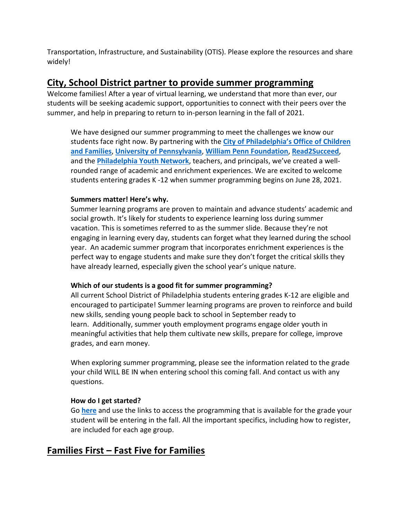Transportation, Infrastructure, and Sustainability (OTIS). Please explore the resources and share widely!

### **City, School District partner to provide summer programming**

Welcome families! After a year of virtual learning, we understand that more than ever, our students will be seeking academic support, opportunities to connect with their peers over the summer, and help in preparing to return to in-person learning in the fall of 2021.

We have designed our summer programming to meet the challenges we know our students face right now. By partnering with the **[City of Philadelphia's Office of Children](https://www.phila.gov/departments/office-of-children-and-families/)  [and Families](https://www.phila.gov/departments/office-of-children-and-families/)**, **[University of Pennsylvania](http://upenn.edu/)**, **[William Penn Foundation](http://williampennfoundation.org/)**, **[Read2Succeed](https://www.read2succeedphiladelphia.com/)**, and the **[Philadelphia Youth Network](http://pyninc.org/)**, teachers, and principals, we've created a wellrounded range of academic and enrichment experiences. We are excited to welcome students entering grades K -12 when summer programming begins on June 28, 2021.

### **Summers matter! Here's why.**

Summer learning programs are proven to maintain and advance students' academic and social growth. It's likely for students to experience learning loss during summer vacation. This is sometimes referred to as the summer slide. Because they're not engaging in learning every day, students can forget what they learned during the school year. An academic summer program that incorporates enrichment experiences is the perfect way to engage students and make sure they don't forget the critical skills they have already learned, especially given the school year's unique nature.

### **Which of our students is a good fit for summer programming?**

All current School District of Philadelphia students entering grades K-12 are eligible and encouraged to participate! Summer learning programs are proven to reinforce and build new skills, sending young people back to school in September ready to learn. Additionally, summer youth employment programs engage older youth in meaningful activities that help them cultivate new skills, prepare for college, improve grades, and earn money.

When exploring summer programming, please see the information related to the grade your child WILL BE IN when entering school this coming fall. And contact us with any questions.

#### **How do I get started?**

Go **[here](https://www.philasd.org/academics/summer-2021-academic-programming/?mc_cid=59c02533d6&mc_eid=9280bf4de5)** and use the links to access the programming that is available for the grade your student will be entering in the fall. All the important specifics, including how to register, are included for each age group.

### **Families First – Fast Five for Families**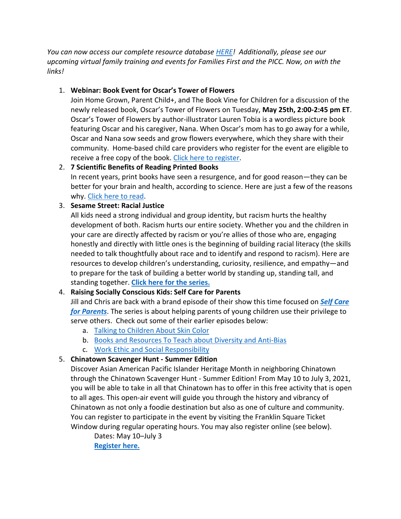*You can now access our complete resource database [HERE!](https://docs.google.com/spreadsheets/d/1y8k49RtPBrPM8TBy4Jcgd1hTphFovqZ75sZWTS9nwbA/edit#gid=0) Additionally, please see our upcoming virtual family training and events for Families First and the PICC. Now, on with the links!*

### 1. **Webinar: Book Event for Oscar's Tower of Flowers**

Join Home Grown, Parent Child+, and The Book Vine for Children for a discussion of the newly released book, Oscar's Tower of Flowers on Tuesday, **May 25th, 2:00-2:45 pm ET**. Oscar's Tower of Flowers by author-illustrator Lauren Tobia is a wordless picture book featuring Oscar and his caregiver, Nana. When Oscar's mom has to go away for a while, Oscar and Nana sow seeds and grow flowers everywhere, which they share with their community. Home-based child care providers who register for the event are eligible to receive a free copy of the book. [Click here to register.](https://homegrownchildcare.org/webinar-book-event-for-oscars-tower-of-flowers/)

### 2. **7 Scientific Benefits of Reading Printed Books**

In recent years, print books have seen a resurgence, and for good reason—they can be better for your brain and health, according to science. Here are just a few of the reasons why. [Click here to read.](https://www.mentalfloss.com/article/554845/7-scientific-benefits-reading-printed-books)

### 3. **Sesame Street: Racial Justice**

All kids need a strong individual and group identity, but racism hurts the healthy development of both. Racism hurts our entire society. Whether you and the children in your care are directly affected by racism or you're allies of those who are, engaging honestly and directly with little ones is the beginning of building racial literacy (the skills needed to talk thoughtfully about race and to identify and respond to racism). Here are resources to develop children's understanding, curiosity, resilience, and empathy—and to prepare for the task of building a better world by standing up, standing tall, and standing together. **[Click here for the series.](https://sesamestreetincommunities.org/topics/racial-justice/)** 

### 4. **Raising Socially Conscious Kids: Self Care for Parents**

Jill and Chris are back with a brand episode of their show this time focused on *[Self Care](https://www.youtube.com/watch?v=76QUZmXXFtI&t=4s)  [for Parents](https://www.youtube.com/watch?v=76QUZmXXFtI&t=4s)*. The series is about helping parents of young children use their privilege to serve others. Check out some of their earlier episodes below:

- a. [Talking to Children About Skin Color](https://www.youtube.com/watch?v=VyJNu3j6FC4&t=2s)
- b. [Books and Resources To Teach about Diversity and Anti-Bias](https://www.youtube.com/watch?v=7hhteHh4gG8&t=10s)
- c. [Work Ethic and Social Responsibility](https://www.youtube.com/watch?v=teZ2UY9MM94&t=189s)

### 5. **Chinatown Scavenger Hunt - Summer Edition**

Discover Asian American Pacific Islander Heritage Month in neighboring Chinatown through the Chinatown Scavenger Hunt - Summer Edition! From May 10 to July 3, 2021, you will be able to take in all that Chinatown has to offer in this free activity that is open to all ages. This open-air event will guide you through the history and vibrancy of Chinatown as not only a foodie destination but also as one of culture and community. You can register to participate in the event by visiting the Franklin Square Ticket Window during regular operating hours. You may also register online (see below).

Dates: May 10–July 3 **[Register here.](https://docs.google.com/forms/d/e/1FAIpQLSeDoxeoHbH5XUklXMproo3nj5KirBVvzNUbPGxdVSqERK0pLA/viewform)**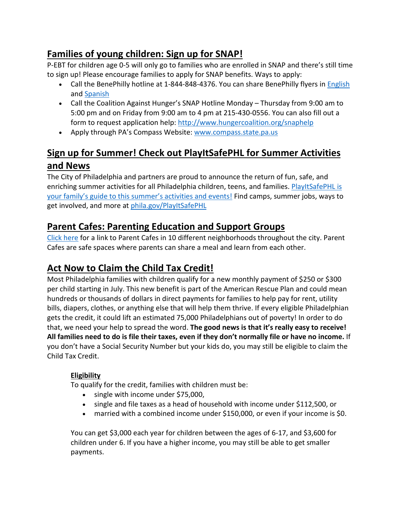# **Families of young children: Sign up for SNAP!**

P-EBT for children age 0-5 will only go to families who are enrolled in SNAP and there's still time to sign up! Please encourage families to apply for SNAP benefits. Ways to apply:

- Call the BenePhilly hotline at 1-844-848-4376. You can share BenePhilly flyers in [English](http://www.sharedprosperityphila.org/documents/BenefitsAccess/Benephillyflyerupdated2018.pdf) and [Spanish](http://www.sharedprosperityphila.org/documents/BenefitsAccess/Benephillyflyerupdated2018spanish.pdf)
- Call the Coalition Against Hunger's SNAP Hotline Monday Thursday from 9:00 am to 5:00 pm and on Friday from 9:00 am to 4 pm at 215-430-0556. You can also fill out a form to request application help:<http://www.hungercoalition.org/snaphelp>
- Apply through PA's Compass Website: [www.compass.state.pa.us](http://www.compass.state.pa.us/)

# **Sign up for Summer! Check out PlayItSafePHL for Summer Activities and News**

The City of Philadelphia and partners are proud to announce the return of fun, safe, and enriching summer activities for all Philadelphia children, teens, and families. [PlayItSafePHL is](https://www.phila.gov/programs/playitsafephl/)  [your family's guide to this summer's activities and events!](https://www.phila.gov/programs/playitsafephl/) Find camps, summer jobs, ways to get involved, and more at phila.gov/PlayItSafePHL

# **Parent Cafes: Parenting Education and Support Groups**

[Click here](https://www.phila.gov/programs/parenting-education-and-support/) for a link to Parent Cafes in 10 different neighborhoods throughout the city. Parent Cafes are safe spaces where parents can share a meal and learn from each other.

# **Act Now to Claim the Child Tax Credit!**

Most Philadelphia families with children qualify for a new monthly payment of \$250 or \$300 per child starting in July. This new benefit is part of the American Rescue Plan and could mean hundreds or thousands of dollars in direct payments for families to help pay for rent, utility bills, diapers, clothes, or anything else that will help them thrive. If every eligible Philadelphian gets the credit, it could lift an estimated 75,000 Philadelphians out of poverty! In order to do that, we need your help to spread the word. **The good news is that it's really easy to receive! All families need to do is file their taxes, even if they don't normally file or have no income.** If you don't have a Social Security Number but your kids do, you may still be eligible to claim the Child Tax Credit.

### **Eligibility**

To qualify for the credit, families with children must be:

- single with income under \$75,000,
- single and file taxes as a head of household with income under \$112,500, or
- married with a combined income under \$150,000, or even if your income is \$0.

You can get \$3,000 each year for children between the ages of 6-17, and \$3,600 for children under 6. If you have a higher income, you may still be able to get smaller payments.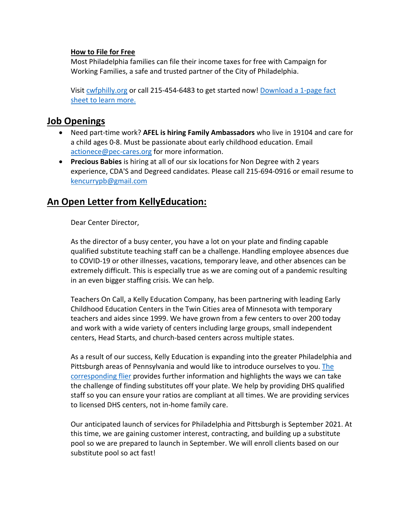#### **How to File for Free**

Most Philadelphia families can file their income taxes for free with Campaign for Working Families, a safe and trusted partner of the City of Philadelphia.

Visi[t cwfphilly.org](https://cwfphilly.org/) or call 215-454-6483 to get started now! [Download a 1-page fact](https://files.constantcontact.com/0710b8d5301/2b04f6c5-4977-4c01-b5aa-d8dafdf44235.pdf)  [sheet to learn more.](https://files.constantcontact.com/0710b8d5301/2b04f6c5-4977-4c01-b5aa-d8dafdf44235.pdf)

### **Job Openings**

- Need part-time work? **AFEL is hiring Family Ambassadors** who live in 19104 and care for a child ages 0-8. Must be passionate about early childhood education. Email [actionece@pec-cares.org](mailto:actionece@pec-cares.org) for more information.
- **Precious Babies** is hiring at all of our six locations for Non Degree with 2 years experience, CDA'S and Degreed candidates. Please call 215-694-0916 or email resume to [kencurrypb@gmail.com](mailto:kencurrypb@gmail.com)

### **An Open Letter from KellyEducation:**

Dear Center Director,

As the director of a busy center, you have a lot on your plate and finding capable qualified substitute teaching staff can be a challenge. Handling employee absences due to COVID-19 or other illnesses, vacations, temporary leave, and other absences can be extremely difficult. This is especially true as we are coming out of a pandemic resulting in an even bigger staffing crisis. We can help.

Teachers On Call, a Kelly Education Company, has been partnering with leading Early Childhood Education Centers in the Twin Cities area of Minnesota with temporary teachers and aides since 1999. We have grown from a few centers to over 200 today and work with a wide variety of centers including large groups, small independent centers, Head Starts, and church-based centers across multiple states.

As a result of our success, Kelly Education is expanding into the greater Philadelphia and Pittsburgh areas of Pennsylvania and would like to introduce ourselves to you. [The](https://www.dropbox.com/s/lpfm58ezjm3hp6u/KE%20ECE%20Customer%20Flier.pdf?dl=0)  [corresponding flier](https://www.dropbox.com/s/lpfm58ezjm3hp6u/KE%20ECE%20Customer%20Flier.pdf?dl=0) provides further information and highlights the ways we can take the challenge of finding substitutes off your plate. We help by providing DHS qualified staff so you can ensure your ratios are compliant at all times. We are providing services to licensed DHS centers, not in-home family care.

Our anticipated launch of services for Philadelphia and Pittsburgh is September 2021. At this time, we are gaining customer interest, contracting, and building up a substitute pool so we are prepared to launch in September. We will enroll clients based on our substitute pool so act fast!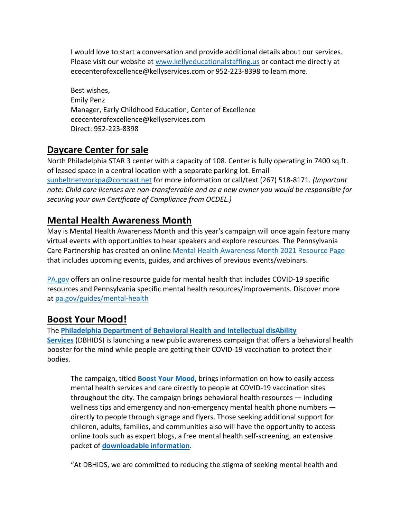I would love to start a conversation and provide additional details about our services. Please visit our website at www.kellyeducationalstaffing.us or contact me directly at ececenterofexcellence@kellyservices.com or 952-223-8398 to learn more.

Best wishes, Emily Penz Manager, Early Childhood Education, Center of Excellence ececenterofexcellence@kellyservices.com Direct: 952-223-8398

### **Daycare Center for sale**

North Philadelphia STAR 3 center with a capacity of 108. Center is fully operating in 7400 sq.ft. of leased space in a central location with a separate parking lot. Email [sunbeltnetworkpa@comcast.net](mailto:sunbeltnetworkpa@comcast.net) for more information or call/text (267) 518-8171. *(Important note: Child care licenses are non-transferrable and as a new owner you would be responsible for securing your own Certificate of Compliance from OCDEL.)*

## **Mental Health Awareness Month**

May is Mental Health Awareness Month and this year's campaign will once again feature many virtual events with opportunities to hear speakers and explore resources. The Pennsylvania Care Partnership has created an onlin[e Mental Health Awareness Month 2021 Resource Page](https://www.pacarepartnership.org/resources/mental-health-awareness-month-2021-mham2021) that includes upcoming events, guides, and archives of previous events/webinars.

[PA.gov](https://www.pa.gov/) offers an online resource guide for mental health that includes COVID-19 specific resources and Pennsylvania specific mental health resources/improvements. Discover more at [pa.gov/guides/mental-health](https://www.pa.gov/guides/mental-health/)

### **Boost Your Mood!**

The **[Philadelphia Department of Behavioral Health and Intellectual disAbility](http://dbhids.org/)  [Services](http://dbhids.org/)** (DBHIDS) is launching a new public awareness campaign that offers a behavioral health booster for the mind while people are getting their COVID-19 vaccination to protect their bodies.

The campaign, titled **[Boost Your Mood](https://healthymindsphilly.org/boost/)**, brings information on how to easily access mental health services and care directly to people at COVID-19 vaccination sites throughout the city. The campaign brings behavioral health resources — including wellness tips and emergency and non-emergency mental health phone numbers directly to people through signage and flyers. Those seeking additional support for children, adults, families, and communities also will have the opportunity to access online tools such as expert blogs, a free mental health self-screening, an extensive packet of **[downloadable information](http://dbhids.org/boost)**.

"At DBHIDS, we are committed to reducing the stigma of seeking mental health and